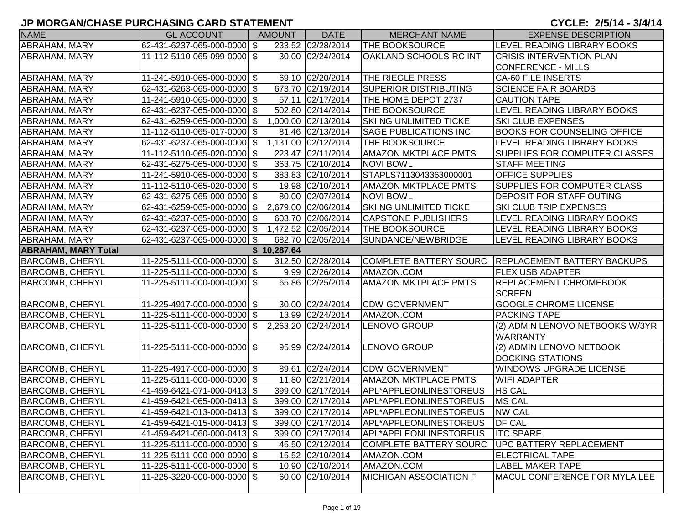| <b>NAME</b>                | <b>GL ACCOUNT</b>            |            | <b>AMOUNT</b> | <b>DATE</b>         | <b>MERCHANT NAME</b>          | <b>EXPENSE DESCRIPTION</b>                         |
|----------------------------|------------------------------|------------|---------------|---------------------|-------------------------------|----------------------------------------------------|
| ABRAHAM, MARY              | 62-431-6237-065-000-0000 \$  |            |               | 233.52 02/28/2014   | THE BOOKSOURCE                | LEVEL READING LIBRARY BOOKS                        |
| <b>ABRAHAM, MARY</b>       | 11-112-5110-065-099-0000 \$  |            |               | 30.00 02/24/2014    | OAKLAND SCHOOLS-RC INT        | <b>CRISIS INTERVENTION PLAN</b>                    |
|                            |                              |            |               |                     |                               | <b>CONFERENCE - MILLS</b>                          |
| <b>ABRAHAM, MARY</b>       | 11-241-5910-065-000-0000 \$  |            |               | 69.10 02/20/2014    | THE RIEGLE PRESS              | <b>CA-60 FILE INSERTS</b>                          |
| ABRAHAM, MARY              | 62-431-6263-065-000-0000 \$  |            |               | 673.70 02/19/2014   | <b>SUPERIOR DISTRIBUTING</b>  | <b>SCIENCE FAIR BOARDS</b>                         |
| ABRAHAM, MARY              | 11-241-5910-065-000-0000 \$  |            |               | 57.11 02/17/2014    | THE HOME DEPOT 2737           | <b>CAUTION TAPE</b>                                |
| <b>ABRAHAM, MARY</b>       | 62-431-6237-065-000-0000 \$  |            |               | 502.80 02/14/2014   | THE BOOKSOURCE                | <b>LEVEL READING LIBRARY BOOKS</b>                 |
| ABRAHAM, MARY              | 62-431-6259-065-000-0000 \$  |            |               | 1,000.00 02/13/2014 | <b>SKIING UNLIMITED TICKE</b> | SKI CLUB EXPENSES                                  |
| ABRAHAM, MARY              | 11-112-5110-065-017-0000 \$  |            |               | 81.46 02/13/2014    | SAGE PUBLICATIONS INC.        | <b>BOOKS FOR COUNSELING OFFICE</b>                 |
| ABRAHAM, MARY              | 62-431-6237-065-000-0000     | $\sqrt{3}$ |               | 1,131.00 02/12/2014 | THE BOOKSOURCE                | LEVEL READING LIBRARY BOOKS                        |
| ABRAHAM, MARY              | 11-112-5110-065-020-0000 \$  |            |               | 223.47 02/11/2014   | AMAZON MKTPLACE PMTS          | SUPPLIES FOR COMPUTER CLASSES                      |
| <b>ABRAHAM, MARY</b>       | 62-431-6275-065-000-0000  \$ |            |               | 363.75 02/10/2014   | <b>NOVI BOWL</b>              | <b>STAFF MEETING</b>                               |
| ABRAHAM, MARY              | 11-241-5910-065-000-0000 \$  |            |               | 383.83 02/10/2014   | STAPLS7113043363000001        | <b>OFFICE SUPPLIES</b>                             |
| ABRAHAM, MARY              | 11-112-5110-065-020-0000 \$  |            |               | 19.98 02/10/2014    | <b>AMAZON MKTPLACE PMTS</b>   | SUPPLIES FOR COMPUTER CLASS                        |
| ABRAHAM, MARY              | 62-431-6275-065-000-0000 \$  |            |               | 80.00 02/07/2014    | <b>NOVI BOWL</b>              | DEPOSIT FOR STAFF OUTING                           |
| ABRAHAM, MARY              | 62-431-6259-065-000-0000 \$  |            |               | 2,679.00 02/06/2014 | <b>SKIING UNLIMITED TICKE</b> | <b>SKI CLUB TRIP EXPENSES</b>                      |
| <b>ABRAHAM, MARY</b>       | 62-431-6237-065-000-0000 \$  |            |               | 603.70 02/06/2014   | <b>CAPSTONE PUBLISHERS</b>    | LEVEL READING LIBRARY BOOKS                        |
| ABRAHAM, MARY              | 62-431-6237-065-000-0000 \$  |            |               | 1,472.52 02/05/2014 | THE BOOKSOURCE                | LEVEL READING LIBRARY BOOKS                        |
| <b>ABRAHAM, MARY</b>       | 62-431-6237-065-000-0000 \$  |            |               | 682.70 02/05/2014   | SUNDANCE/NEWBRIDGE            | LEVEL READING LIBRARY BOOKS                        |
| <b>ABRAHAM, MARY Total</b> |                              |            | \$10,287.64   |                     |                               |                                                    |
| <b>BARCOMB, CHERYL</b>     | 11-225-5111-000-000-0000  \$ |            |               | 312.50 02/28/2014   |                               | COMPLETE BATTERY SOURC REPLACEMENT BATTERY BACKUPS |
| <b>BARCOMB, CHERYL</b>     | 11-225-5111-000-000-0000 \$  |            |               | 9.99 02/26/2014     | AMAZON.COM                    | <b>FLEX USB ADAPTER</b>                            |
| <b>BARCOMB, CHERYL</b>     | 11-225-5111-000-000-0000 \$  |            |               | 65.86 02/25/2014    | <b>AMAZON MKTPLACE PMTS</b>   | REPLACEMENT CHROMEBOOK                             |
|                            |                              |            |               |                     |                               | <b>SCREEN</b>                                      |
| <b>BARCOMB, CHERYL</b>     | 11-225-4917-000-000-0000 \$  |            |               | 30.00 02/24/2014    | <b>CDW GOVERNMENT</b>         | <b>GOOGLE CHROME LICENSE</b>                       |
| <b>BARCOMB, CHERYL</b>     | 11-225-5111-000-000-0000 \$  |            |               | 13.99 02/24/2014    | AMAZON.COM                    | <b>PACKING TAPE</b>                                |
| <b>BARCOMB, CHERYL</b>     | 11-225-5111-000-000-0000 \$  |            |               | 2,263.20 02/24/2014 | LENOVO GROUP                  | (2) ADMIN LENOVO NETBOOKS W/3YR<br><b>WARRANTY</b> |
| <b>BARCOMB, CHERYL</b>     | 11-225-5111-000-000-0000 \$  |            |               | 95.99 02/24/2014    | LENOVO GROUP                  | (2) ADMIN LENOVO NETBOOK                           |
|                            |                              |            |               |                     |                               | <b>DOCKING STATIONS</b>                            |
| <b>BARCOMB, CHERYL</b>     | 11-225-4917-000-000-0000 \$  |            |               | 89.61 02/24/2014    | <b>CDW GOVERNMENT</b>         | WINDOWS UPGRADE LICENSE                            |
| <b>BARCOMB, CHERYL</b>     | 11-225-5111-000-000-0000 \$  |            |               | 11.80 02/21/2014    | <b>AMAZON MKTPLACE PMTS</b>   | <b>WIFI ADAPTER</b>                                |
| <b>BARCOMB, CHERYL</b>     | 41-459-6421-071-000-0413 \$  |            |               | 399.00 02/17/2014   | APL*APPLEONLINESTOREUS        | <b>HS CAL</b>                                      |
| <b>BARCOMB, CHERYL</b>     | 41-459-6421-065-000-0413 \$  |            |               | 399.00 02/17/2014   | APL*APPLEONLINESTOREUS        | <b>MS CAL</b>                                      |
| <b>BARCOMB, CHERYL</b>     | 41-459-6421-013-000-0413 \$  |            |               | 399.00 02/17/2014   | APL*APPLEONLINESTOREUS        | <b>NW CAL</b>                                      |
| <b>BARCOMB, CHERYL</b>     | 41-459-6421-015-000-0413 \$  |            |               | 399.00 02/17/2014   | APL*APPLEONLINESTOREUS        | <b>DF CAL</b>                                      |
| <b>BARCOMB, CHERYL</b>     | 41-459-6421-060-000-0413 \$  |            |               | 399.00 02/17/2014   | APL*APPLEONLINESTOREUS        | <b>ITC SPARE</b>                                   |
| <b>BARCOMB, CHERYL</b>     | 11-225-5111-000-000-0000 \$  |            |               | 45.50 02/12/2014    | <b>COMPLETE BATTERY SOURC</b> | <b>UPC BATTERY REPLACEMENT</b>                     |
| <b>BARCOMB, CHERYL</b>     | 11-225-5111-000-000-0000 \$  |            |               | 15.52 02/10/2014    | AMAZON.COM                    | <b>ELECTRICAL TAPE</b>                             |
| <b>BARCOMB, CHERYL</b>     | 11-225-5111-000-000-0000 \$  |            |               | 10.90 02/10/2014    | AMAZON.COM                    | <b>LABEL MAKER TAPE</b>                            |
| <b>BARCOMB, CHERYL</b>     | 11-225-3220-000-000-0000 \$  |            |               | 60.00 02/10/2014    | <b>MICHIGAN ASSOCIATION F</b> | MACUL CONFERENCE FOR MYLA LEE                      |
|                            |                              |            |               |                     |                               |                                                    |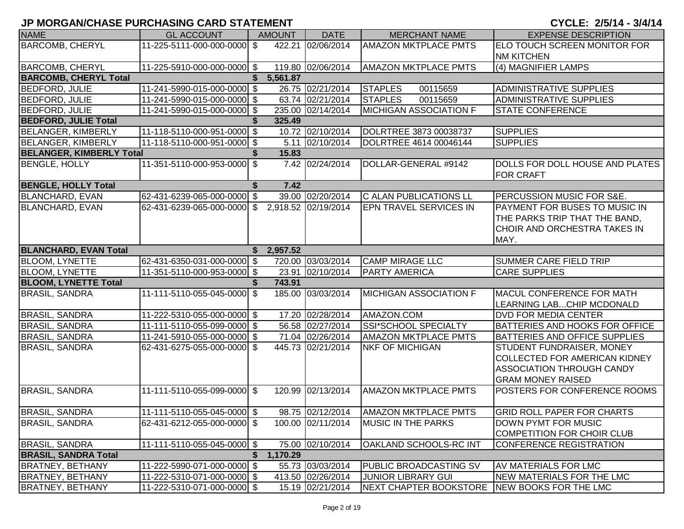| <b>NAME</b>                     | <b>GL ACCOUNT</b>           | <b>AMOUNT</b>  | <b>DATE</b>         | <b>MERCHANT NAME</b>                         | <b>EXPENSE DESCRIPTION</b>            |
|---------------------------------|-----------------------------|----------------|---------------------|----------------------------------------------|---------------------------------------|
| <b>BARCOMB, CHERYL</b>          | 11-225-5111-000-000-0000 \$ |                | 422.21 02/06/2014   | <b>AMAZON MKTPLACE PMTS</b>                  | ELO TOUCH SCREEN MONITOR FOR          |
|                                 |                             |                |                     |                                              | <b>NM KITCHEN</b>                     |
| <b>BARCOMB, CHERYL</b>          | 11-225-5910-000-000-0000 \$ |                | 119.80 02/06/2014   | <b>AMAZON MKTPLACE PMTS</b>                  | (4) MAGNIFIER LAMPS                   |
| <b>BARCOMB, CHERYL Total</b>    |                             | 5,561.87       |                     |                                              |                                       |
| <b>BEDFORD, JULIE</b>           | 11-241-5990-015-000-0000 \$ |                | 26.75 02/21/2014    | <b>STAPLES</b><br>00115659                   | <b>ADMINISTRATIVE SUPPLIES</b>        |
| <b>BEDFORD, JULIE</b>           | 11-241-5990-015-000-0000 \$ |                | 63.74 02/21/2014    | <b>STAPLES</b><br>00115659                   | <b>ADMINISTRATIVE SUPPLIES</b>        |
| <b>BEDFORD, JULIE</b>           | 11-241-5990-015-000-0000 \$ |                | 235.00 02/14/2014   | <b>MICHIGAN ASSOCIATION F</b>                | <b>STATE CONFERENCE</b>               |
| <b>BEDFORD, JULIE Total</b>     |                             | 325.49         |                     |                                              |                                       |
| <b>BELANGER, KIMBERLY</b>       | 11-118-5110-000-951-0000 \$ |                | 10.72 02/10/2014    | DOLRTREE 3873 00038737                       | <b>SUPPLIES</b>                       |
| <b>BELANGER, KIMBERLY</b>       | 11-118-5110-000-951-0000 \$ |                | 5.11 02/10/2014     | DOLRTREE 4614 00046144                       | <b>SUPPLIES</b>                       |
| <b>BELANGER, KIMBERLY Total</b> |                             | 15.83<br>\$    |                     |                                              |                                       |
| <b>BENGLE, HOLLY</b>            | 11-351-5110-000-953-0000 \$ |                | 7.42 02/24/2014     | DOLLAR-GENERAL #9142                         | DOLLS FOR DOLL HOUSE AND PLATES       |
|                                 |                             |                |                     |                                              | <b>FOR CRAFT</b>                      |
| <b>BENGLE, HOLLY Total</b>      |                             | 7.42<br>\$     |                     |                                              |                                       |
| <b>BLANCHARD, EVAN</b>          | 62-431-6239-065-000-0000 \$ |                | 39.00 02/20/2014    | <b>C ALAN PUBLICATIONS LL</b>                | PERCUSSION MUSIC FOR S&E.             |
| <b>BLANCHARD, EVAN</b>          | 62-431-6239-065-000-0000 \$ |                | 2,918.52 02/19/2014 | <b>EPN TRAVEL SERVICES IN</b>                | PAYMENT FOR BUSES TO MUSIC IN         |
|                                 |                             |                |                     |                                              | THE PARKS TRIP THAT THE BAND,         |
|                                 |                             |                |                     |                                              | CHOIR AND ORCHESTRA TAKES IN          |
|                                 |                             |                |                     |                                              | MAY.                                  |
| <b>BLANCHARD, EVAN Total</b>    |                             | \$2,957.52     |                     |                                              |                                       |
| <b>BLOOM, LYNETTE</b>           | 62-431-6350-031-000-0000 \$ |                | 720.00 03/03/2014   | <b>CAMP MIRAGE LLC</b>                       | <b>SUMMER CARE FIELD TRIP</b>         |
| <b>BLOOM, LYNETTE</b>           | 11-351-5110-000-953-0000 \$ |                | 23.91 02/10/2014    | <b>PARTY AMERICA</b>                         | <b>CARE SUPPLIES</b>                  |
| <b>BLOOM, LYNETTE Total</b>     |                             | 743.91         |                     |                                              |                                       |
| <b>BRASIL, SANDRA</b>           | 11-111-5110-055-045-0000 \$ |                | 185.00 03/03/2014   | <b>MICHIGAN ASSOCIATION F</b>                | MACUL CONFERENCE FOR MATH             |
|                                 |                             |                |                     |                                              | LEARNING LABCHIP MCDONALD             |
| <b>BRASIL, SANDRA</b>           | 11-222-5310-055-000-0000 \$ |                | 17.20 02/28/2014    | AMAZON.COM                                   | <b>DVD FOR MEDIA CENTER</b>           |
| <b>BRASIL, SANDRA</b>           | 11-111-5110-055-099-0000 \$ |                | 56.58 02/27/2014    | SSI*SCHOOL SPECIALTY                         | <b>BATTERIES AND HOOKS FOR OFFICE</b> |
| <b>BRASIL, SANDRA</b>           | 11-241-5910-055-000-0000 \$ |                | 71.04 02/26/2014    | <b>AMAZON MKTPLACE PMTS</b>                  | <b>BATTERIES AND OFFICE SUPPLIES</b>  |
| <b>BRASIL, SANDRA</b>           | 62-431-6275-055-000-0000 \$ |                | 445.73 02/21/2014   | <b>NKF OF MICHIGAN</b>                       | STUDENT FUNDRAISER, MONEY             |
|                                 |                             |                |                     |                                              | <b>COLLECTED FOR AMERICAN KIDNEY</b>  |
|                                 |                             |                |                     |                                              | <b>ASSOCIATION THROUGH CANDY</b>      |
|                                 |                             |                |                     |                                              | <b>GRAM MONEY RAISED</b>              |
| <b>BRASIL, SANDRA</b>           | 11-111-5110-055-099-0000 \$ |                | 120.99 02/13/2014   | <b>AMAZON MKTPLACE PMTS</b>                  | POSTERS FOR CONFERENCE ROOMS          |
|                                 |                             |                |                     |                                              |                                       |
| <b>BRASIL, SANDRA</b>           | 11-111-5110-055-045-0000 \$ |                |                     | 98.75 02/12/2014   AMAZON MKTPLACE PMTS      | <b>GRID ROLL PAPER FOR CHARTS</b>     |
| <b>BRASIL, SANDRA</b>           | 62-431-6212-055-000-0000 \$ |                | 100.00 02/11/2014   | <b>MUSIC IN THE PARKS</b>                    | DOWN PYMT FOR MUSIC                   |
|                                 |                             |                |                     |                                              | COMPETITION FOR CHOIR CLUB            |
| <b>BRASIL, SANDRA</b>           | 11-111-5110-055-045-0000 \$ |                | 75.00 02/10/2014    | <b>OAKLAND SCHOOLS-RC INT</b>                | CONFERENCE REGISTRATION               |
| <b>BRASIL, SANDRA Total</b>     |                             | 1,170.29<br>\$ |                     |                                              |                                       |
| <b>BRATNEY, BETHANY</b>         | 11-222-5990-071-000-0000 \$ |                | 55.73 03/03/2014    | <b>PUBLIC BROADCASTING SV</b>                | <b>AV MATERIALS FOR LMC</b>           |
| <b>BRATNEY, BETHANY</b>         | 11-222-5310-071-000-0000 \$ |                | 413.50 02/26/2014   | <b>JUNIOR LIBRARY GUI</b>                    | NEW MATERIALS FOR THE LMC             |
| <b>BRATNEY, BETHANY</b>         | 11-222-5310-071-000-0000 \$ |                | 15.19 02/21/2014    | NEXT CHAPTER BOOKSTORE NEW BOOKS FOR THE LMC |                                       |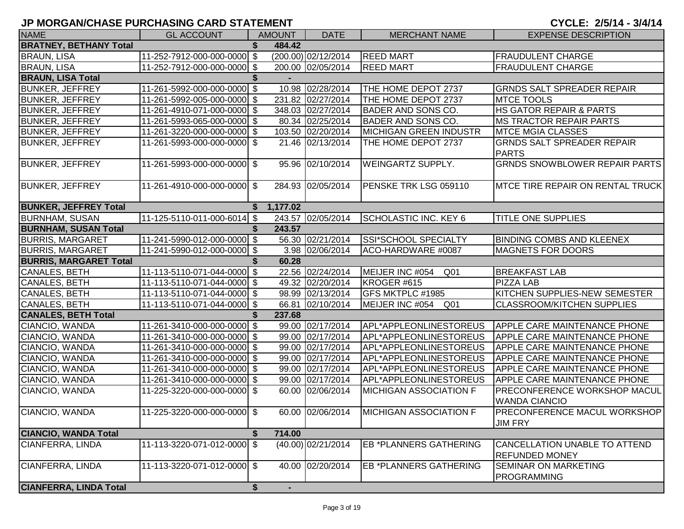| <b>NAME</b>                   | <b>GL ACCOUNT</b>           |    | <b>AMOUNT</b> | <b>DATE</b>           | <b>MERCHANT NAME</b>          | <b>EXPENSE DESCRIPTION</b>                             |
|-------------------------------|-----------------------------|----|---------------|-----------------------|-------------------------------|--------------------------------------------------------|
| <b>BRATNEY, BETHANY Total</b> |                             |    | 484.42        |                       |                               |                                                        |
| <b>BRAUN, LISA</b>            | 11-252-7912-000-000-0000 \$ |    |               | $(200.00)$ 02/12/2014 | <b>REED MART</b>              | FRAUDULENT CHARGE                                      |
| <b>BRAUN, LISA</b>            | 11-252-7912-000-000-0000 \$ |    |               | 200.00 02/05/2014     | <b>REED MART</b>              | <b>FRAUDULENT CHARGE</b>                               |
| <b>BRAUN, LISA Total</b>      |                             |    |               |                       |                               |                                                        |
| <b>BUNKER, JEFFREY</b>        | 11-261-5992-000-000-0000 \$ |    |               | 10.98 02/28/2014      | THE HOME DEPOT 2737           | <b>GRNDS SALT SPREADER REPAIR</b>                      |
| <b>BUNKER, JEFFREY</b>        | 11-261-5992-005-000-0000 \$ |    |               | 231.82 02/27/2014     | THE HOME DEPOT 2737           | <b>MTCE TOOLS</b>                                      |
| <b>BUNKER, JEFFREY</b>        | 11-261-4910-071-000-0000 \$ |    |               | 348.03 02/27/2014     | BADER AND SONS CO.            | HS GATOR REPAIR & PARTS                                |
| <b>BUNKER, JEFFREY</b>        | 11-261-5993-065-000-0000 \$ |    |               | 80.34 02/25/2014      | BADER AND SONS CO.            | <b>MS TRACTOR REPAIR PARTS</b>                         |
| <b>BUNKER, JEFFREY</b>        | 11-261-3220-000-000-0000 \$ |    |               | 103.50 02/20/2014     | <b>MICHIGAN GREEN INDUSTR</b> | <b>MTCE MGIA CLASSES</b>                               |
| <b>BUNKER, JEFFREY</b>        | 11-261-5993-000-000-0000 \$ |    |               | 21.46 02/13/2014      | THE HOME DEPOT 2737           | <b>GRNDS SALT SPREADER REPAIR</b><br><b>PARTS</b>      |
| <b>BUNKER, JEFFREY</b>        | 11-261-5993-000-000-0000 \$ |    |               | 95.96 02/10/2014      | WEINGARTZ SUPPLY.             | <b>GRNDS SNOWBLOWER REPAIR PARTS</b>                   |
| <b>BUNKER, JEFFREY</b>        | 11-261-4910-000-000-0000 \$ |    |               | 284.93 02/05/2014     | PENSKE TRK LSG 059110         | <b>IMTCE TIRE REPAIR ON RENTAL TRUCK</b>               |
| <b>BUNKER, JEFFREY Total</b>  |                             | S. | 1,177.02      |                       |                               |                                                        |
| <b>BURNHAM, SUSAN</b>         | 11-125-5110-011-000-6014 \$ |    |               | 243.57 02/05/2014     | SCHOLASTIC INC. KEY 6         | <b>TITLE ONE SUPPLIES</b>                              |
| <b>BURNHAM, SUSAN Total</b>   |                             |    | 243.57        |                       |                               |                                                        |
| <b>BURRIS, MARGARET</b>       | 11-241-5990-012-000-0000 \$ |    |               | 56.30 02/21/2014      | <b>SSI*SCHOOL SPECIALTY</b>   | <b>BINDING COMBS AND KLEENEX</b>                       |
| <b>BURRIS, MARGARET</b>       | 11-241-5990-012-000-0000 \$ |    |               | 3.98 02/06/2014       | ACO-HARDWARE #0087            | <b>MAGNETS FOR DOORS</b>                               |
| <b>BURRIS, MARGARET Total</b> |                             |    | 60.28         |                       |                               |                                                        |
| CANALES, BETH                 | 11-113-5110-071-044-0000 \$ |    |               | 22.56 02/24/2014      | MEIJER INC #054<br>Q01        | <b>BREAKFAST LAB</b>                                   |
| CANALES, BETH                 | 11-113-5110-071-044-0000 \$ |    |               | 49.32 02/20/2014      | KROGER #615                   | <b>PIZZA LAB</b>                                       |
| CANALES, BETH                 | 11-113-5110-071-044-0000 \$ |    |               | 98.99 02/13/2014      | <b>GFS MKTPLC #1985</b>       | KITCHEN SUPPLIES-NEW SEMESTER                          |
| CANALES, BETH                 | 11-113-5110-071-044-0000 \$ |    |               | 66.81 02/10/2014      | MEIJER INC #054 Q01           | <b>CLASSROOM/KITCHEN SUPPLIES</b>                      |
| <b>CANALES, BETH Total</b>    |                             |    | 237.68        |                       |                               |                                                        |
| CIANCIO, WANDA                | 11-261-3410-000-000-0000 \$ |    |               | 99.00 02/17/2014      | APL*APPLEONLINESTOREUS        | <b>APPLE CARE MAINTENANCE PHONE</b>                    |
| CIANCIO, WANDA                | 11-261-3410-000-000-0000 \$ |    |               | 99.00 02/17/2014      | APL*APPLEONLINESTOREUS        | <b>APPLE CARE MAINTENANCE PHONE</b>                    |
| CIANCIO, WANDA                | 11-261-3410-000-000-0000 \$ |    |               | 99.00 02/17/2014      | APL*APPLEONLINESTOREUS        | <b>APPLE CARE MAINTENANCE PHONE</b>                    |
| CIANCIO, WANDA                | 11-261-3410-000-000-0000 \$ |    |               | 99.00 02/17/2014      | APL*APPLEONLINESTOREUS        | <b>APPLE CARE MAINTENANCE PHONE</b>                    |
| CIANCIO, WANDA                | 11-261-3410-000-000-0000 \$ |    |               | 99.00 02/17/2014      | APL*APPLEONLINESTOREUS        | <b>APPLE CARE MAINTENANCE PHONE</b>                    |
| CIANCIO, WANDA                | 11-261-3410-000-000-0000 \$ |    |               | 99.00 02/17/2014      | APL*APPLEONLINESTOREUS        | <b>APPLE CARE MAINTENANCE PHONE</b>                    |
| CIANCIO, WANDA                | 11-225-3220-000-000-0000 \$ |    |               | 60.00 02/06/2014      | <b>MICHIGAN ASSOCIATION F</b> | PRECONFERENCE WORKSHOP MACUL<br><b>WANDA CIANCIO</b>   |
| CIANCIO, WANDA                | 11-225-3220-000-000-0000 \$ |    |               | 60.00 02/06/2014      | <b>MICHIGAN ASSOCIATION F</b> | <b>PRECONFERENCE MACUL WORKSHOP</b><br><b>JIM FRY</b>  |
| <b>CIANCIO, WANDA Total</b>   |                             |    | 714.00        |                       |                               |                                                        |
| CIANFERRA, LINDA              | 11-113-3220-071-012-0000 \$ |    |               | (40.00) 02/21/2014    | EB *PLANNERS GATHERING        | CANCELLATION UNABLE TO ATTEND<br><b>REFUNDED MONEY</b> |
| CIANFERRA, LINDA              | 11-113-3220-071-012-0000 \$ |    |               | 40.00 02/20/2014      | EB *PLANNERS GATHERING        | <b>SEMINAR ON MARKETING</b><br><b>PROGRAMMING</b>      |
| <b>CIANFERRA, LINDA Total</b> |                             | \$ |               |                       |                               |                                                        |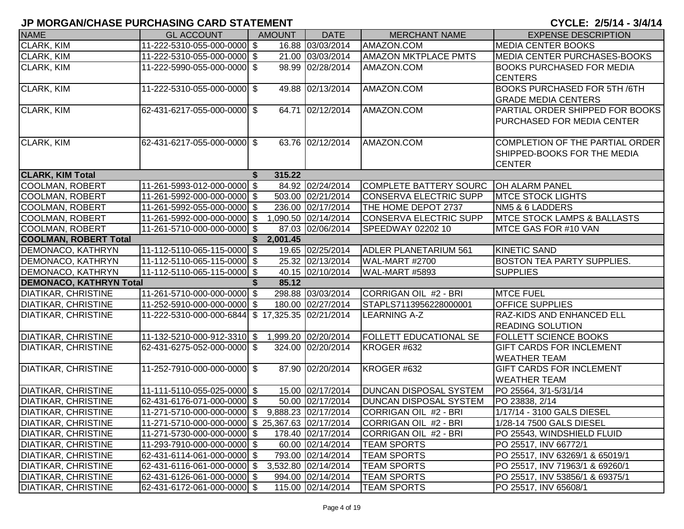| <b>NAME</b>                    | <b>GL ACCOUNT</b>                                | <b>AMOUNT</b> | <b>DATE</b>         | <b>MERCHANT NAME</b>          | <b>EXPENSE DESCRIPTION</b>              |
|--------------------------------|--------------------------------------------------|---------------|---------------------|-------------------------------|-----------------------------------------|
| <b>CLARK, KIM</b>              | 11-222-5310-055-000-0000 \$                      |               | 16.88 03/03/2014    | AMAZON.COM                    | <b>MEDIA CENTER BOOKS</b>               |
| CLARK, KIM                     | 11-222-5310-055-000-0000 \$                      |               | 21.00 03/03/2014    | <b>AMAZON MKTPLACE PMTS</b>   | <b>MEDIA CENTER PURCHASES-BOOKS</b>     |
| CLARK, KIM                     | 11-222-5990-055-000-0000 \$                      |               | 98.99 02/28/2014    | AMAZON.COM                    | <b>BOOKS PURCHASED FOR MEDIA</b>        |
|                                |                                                  |               |                     |                               | <b>CENTERS</b>                          |
| CLARK, KIM                     | 11-222-5310-055-000-0000 \$                      |               | 49.88 02/13/2014    | AMAZON.COM                    | <b>BOOKS PURCHASED FOR 5TH /6TH</b>     |
|                                |                                                  |               |                     |                               | <b>GRADE MEDIA CENTERS</b>              |
| CLARK, KIM                     | 62-431-6217-055-000-0000 \$                      |               | 64.71 02/12/2014    | AMAZON.COM                    | PARTIAL ORDER SHIPPED FOR BOOKS         |
|                                |                                                  |               |                     |                               | <b>PURCHASED FOR MEDIA CENTER</b>       |
|                                |                                                  |               |                     |                               |                                         |
| <b>CLARK, KIM</b>              | 62-431-6217-055-000-0000 \$                      |               | 63.76 02/12/2014    | AMAZON.COM                    | COMPLETION OF THE PARTIAL ORDER         |
|                                |                                                  |               |                     |                               | SHIPPED-BOOKS FOR THE MEDIA             |
|                                |                                                  |               |                     |                               | <b>CENTER</b>                           |
| <b>CLARK, KIM Total</b>        |                                                  | 315.22        |                     |                               |                                         |
| <b>COOLMAN, ROBERT</b>         | 11-261-5993-012-000-0000 \$                      |               | 84.92 02/24/2014    | COMPLETE BATTERY SOURC        | <b>OH ALARM PANEL</b>                   |
| <b>COOLMAN, ROBERT</b>         | 11-261-5992-000-000-0000 \$                      |               | 503.00 02/21/2014   | CONSERVA ELECTRIC SUPP        | <b>MTCE STOCK LIGHTS</b>                |
| <b>COOLMAN, ROBERT</b>         | 11-261-5992-055-000-0000 \$                      |               | 236.00 02/17/2014   | THE HOME DEPOT 2737           | NM5 & 6 LADDERS                         |
| <b>COOLMAN, ROBERT</b>         | 11-261-5992-000-000-0000 \$                      |               | 1,090.50 02/14/2014 | CONSERVA ELECTRIC SUPP        | <b>IMTCE STOCK LAMPS &amp; BALLASTS</b> |
| COOLMAN, ROBERT                | 11-261-5710-000-000-0000 \$                      |               | 87.03 02/06/2014    | SPEEDWAY 02202 10             | MTCE GAS FOR #10 VAN                    |
| <b>COOLMAN, ROBERT Total</b>   |                                                  | 2,001.45      |                     |                               |                                         |
| DEMONACO, KATHRYN              | 11-112-5110-065-115-0000 \$                      |               | 19.65 02/25/2014    | <b>ADLER PLANETARIUM 561</b>  | <b>KINETIC SAND</b>                     |
| DEMONACO, KATHRYN              | 11-112-5110-065-115-0000 \$                      |               | 25.32 02/13/2014    | WAL-MART #2700                | <b>BOSTON TEA PARTY SUPPLIES.</b>       |
| DEMONACO, KATHRYN              | 11-112-5110-065-115-0000 \$                      |               | 40.15 02/10/2014    | WAL-MART #5893                | <b>SUPPLIES</b>                         |
| <b>DEMONACO, KATHRYN Total</b> |                                                  | 85.12         |                     |                               |                                         |
| <b>DIATIKAR, CHRISTINE</b>     | 11-261-5710-000-000-0000 \$                      |               | 298.88 03/03/2014   | CORRIGAN OIL #2 - BRI         | <b>MTCE FUEL</b>                        |
| <b>DIATIKAR, CHRISTINE</b>     | 11-252-5910-000-000-0000 \$                      |               | 180.00 02/27/2014   | STAPLS7113956228000001        | <b>OFFICE SUPPLIES</b>                  |
| <b>DIATIKAR, CHRISTINE</b>     | 11-222-5310-000-000-6844 \$17,325.35 02/21/2014  |               |                     | <b>LEARNING A-Z</b>           | <b>RAZ-KIDS AND ENHANCED ELL</b>        |
|                                |                                                  |               |                     |                               | <b>READING SOLUTION</b>                 |
| <b>DIATIKAR, CHRISTINE</b>     | 11-132-5210-000-912-3310 \$ 1,999.20 02/20/2014  |               |                     | <b>FOLLETT EDUCATIONAL SE</b> | <b>FOLLETT SCIENCE BOOKS</b>            |
| <b>DIATIKAR, CHRISTINE</b>     | 62-431-6275-052-000-0000 \$                      |               | 324.00 02/20/2014   | KROGER #632                   | <b>GIFT CARDS FOR INCLEMENT</b>         |
|                                |                                                  |               |                     |                               | <b>WEATHER TEAM</b>                     |
| <b>DIATIKAR, CHRISTINE</b>     | 11-252-7910-000-000-0000 \$                      |               | 87.90 02/20/2014    | KROGER #632                   | <b>GIFT CARDS FOR INCLEMENT</b>         |
|                                |                                                  |               |                     |                               | <b>WEATHER TEAM</b>                     |
| <b>DIATIKAR, CHRISTINE</b>     | 11-111-5110-055-025-0000 \$                      |               | 15.00 02/17/2014    | <b>DUNCAN DISPOSAL SYSTEM</b> | PO 25564, 3/1-5/31/14                   |
| <b>DIATIKAR, CHRISTINE</b>     | 62-431-6176-071-000-0000 \$                      |               | 50.00 02/17/2014    | <b>DUNCAN DISPOSAL SYSTEM</b> | PO 23838, 2/14                          |
| <b>DIATIKAR, CHRISTINE</b>     | 11-271-5710-000-000-0000 \$                      |               | 9,888.23 02/17/2014 | CORRIGAN OIL #2 - BRI         | 1/17/14 - 3100 GALS DIESEL              |
| <b>DIATIKAR, CHRISTINE</b>     | 11-271-5710-000-000-0000 \$ 25,367.63 02/17/2014 |               |                     | CORRIGAN OIL #2 - BRI         | 1/28-14 7500 GALS DIESEL                |
| DIATIKAR, CHRISTINE            | 11-271-5730-000-000-0000 \$                      |               | 178.40 02/17/2014   | CORRIGAN OIL #2 - BRI         | PO 25543, WINDSHIELD FLUID              |
| <b>DIATIKAR, CHRISTINE</b>     | 11-293-7910-000-000-0000 \$                      |               | 60.00 02/14/2014    | <b>TEAM SPORTS</b>            | PO 25517, INV 66772/1                   |
| <b>DIATIKAR, CHRISTINE</b>     | 62-431-6114-061-000-0000 \$                      |               | 793.00 02/14/2014   | <b>TEAM SPORTS</b>            | PO 25517, INV 63269/1 & 65019/1         |
| <b>DIATIKAR, CHRISTINE</b>     | 62-431-6116-061-000-0000 \$                      |               | 3,532.80 02/14/2014 | <b>TEAM SPORTS</b>            | PO 25517, INV 71963/1 & 69260/1         |
| <b>DIATIKAR, CHRISTINE</b>     | 62-431-6126-061-000-0000 \$                      |               | 994.00 02/14/2014   | <b>TEAM SPORTS</b>            | PO 25517, INV 53856/1 & 69375/1         |
| <b>DIATIKAR, CHRISTINE</b>     | 62-431-6172-061-000-0000 \$                      |               | 115.00 02/14/2014   | <b>TEAM SPORTS</b>            | PO 25517, INV 65608/1                   |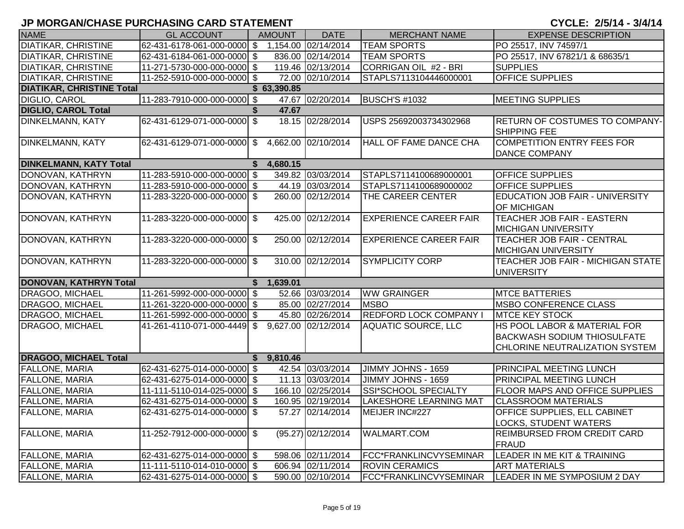| <b>NAME</b>                      | <b>GL ACCOUNT</b>           |    | <b>AMOUNT</b> | <b>DATE</b>          | <b>MERCHANT NAME</b>          | <b>EXPENSE DESCRIPTION</b>                                                                           |
|----------------------------------|-----------------------------|----|---------------|----------------------|-------------------------------|------------------------------------------------------------------------------------------------------|
| <b>DIATIKAR, CHRISTINE</b>       | 62-431-6178-061-000-0000 \$ |    |               | 1,154.00 02/14/2014  | <b>TEAM SPORTS</b>            | PO 25517, INV 74597/1                                                                                |
| <b>DIATIKAR, CHRISTINE</b>       | 62-431-6184-061-000-0000 \$ |    |               | 836.00 02/14/2014    | <b>TEAM SPORTS</b>            | PO 25517, INV 67821/1 & 68635/1                                                                      |
| <b>DIATIKAR, CHRISTINE</b>       | 11-271-5730-000-000-0000 \$ |    |               | 119.46 02/13/2014    | CORRIGAN OIL #2 - BRI         | <b>SUPPLIES</b>                                                                                      |
| <b>DIATIKAR, CHRISTINE</b>       | 11-252-5910-000-000-0000 \$ |    |               | 72.00 02/10/2014     | STAPLS7113104446000001        | <b>OFFICE SUPPLIES</b>                                                                               |
| <b>DIATIKAR, CHRISTINE Total</b> |                             |    | \$63,390.85   |                      |                               |                                                                                                      |
| DIGLIO, CAROL                    | 11-283-7910-000-000-0000 \$ |    |               | 47.67 02/20/2014     | <b>BUSCH'S #1032</b>          | <b>MEETING SUPPLIES</b>                                                                              |
| <b>DIGLIO, CAROL Total</b>       |                             | S. | 47.67         |                      |                               |                                                                                                      |
| <b>DINKELMANN, KATY</b>          | 62-431-6129-071-000-0000 \$ |    |               | 18.15 02/28/2014     | USPS 25692003734302968        | <b>RETURN OF COSTUMES TO COMPANY-</b><br><b>SHIPPING FEE</b>                                         |
| <b>DINKELMANN, KATY</b>          | 62-431-6129-071-000-0000 \$ |    |               | 4,662.00 02/10/2014  | HALL OF FAME DANCE CHA        | COMPETITION ENTRY FEES FOR<br><b>DANCE COMPANY</b>                                                   |
| <b>DINKELMANN, KATY Total</b>    |                             |    | 4,680.15      |                      |                               |                                                                                                      |
| DONOVAN, KATHRYN                 | 11-283-5910-000-000-0000 \$ |    |               | 349.82 03/03/2014    | STAPLS7114100689000001        | <b>OFFICE SUPPLIES</b>                                                                               |
| DONOVAN, KATHRYN                 | 11-283-5910-000-000-0000 \$ |    |               | 44.19 03/03/2014     | STAPLS7114100689000002        | <b>OFFICE SUPPLIES</b>                                                                               |
| DONOVAN, KATHRYN                 | 11-283-3220-000-000-0000 \$ |    |               | 260.00 02/12/2014    | THE CAREER CENTER             | EDUCATION JOB FAIR - UNIVERSITY<br><b>OF MICHIGAN</b>                                                |
| DONOVAN, KATHRYN                 | 11-283-3220-000-000-0000 \$ |    |               | 425.00 02/12/2014    | <b>EXPERIENCE CAREER FAIR</b> | TEACHER JOB FAIR - EASTERN<br><b>MICHIGAN UNIVERSITY</b>                                             |
| DONOVAN, KATHRYN                 | 11-283-3220-000-000-0000 \$ |    |               | 250.00 02/12/2014    | <b>EXPERIENCE CAREER FAIR</b> | <b>TEACHER JOB FAIR - CENTRAL</b><br><b>MICHIGAN UNIVERSITY</b>                                      |
| DONOVAN, KATHRYN                 | 11-283-3220-000-000-0000 \$ |    |               | 310.00 02/12/2014    | <b>SYMPLICITY CORP</b>        | TEACHER JOB FAIR - MICHIGAN STATE<br><b>UNIVERSITY</b>                                               |
| DONOVAN, KATHRYN Total           |                             | S. | 1,639.01      |                      |                               |                                                                                                      |
| DRAGOO, MICHAEL                  | 11-261-5992-000-000-0000 \$ |    |               | 52.66 03/03/2014     | <b>WW GRAINGER</b>            | <b>MTCE BATTERIES</b>                                                                                |
| DRAGOO, MICHAEL                  | 11-261-3220-000-000-0000 \$ |    |               | 85.00 02/27/2014     | <b>MSBO</b>                   | <b>IMSBO CONFERENCE CLASS</b>                                                                        |
| DRAGOO, MICHAEL                  | 11-261-5992-000-000-0000 \$ |    |               | 45.80 02/26/2014     | <b>REDFORD LOCK COMPANY I</b> | <b>MTCE KEY STOCK</b>                                                                                |
| <b>DRAGOO, MICHAEL</b>           | 41-261-4110-071-000-4449 \$ |    |               | 9,627.00 02/12/2014  | <b>AQUATIC SOURCE, LLC</b>    | HS POOL LABOR & MATERIAL FOR<br><b>BACKWASH SODIUM THIOSULFATE</b><br>CHLORINE NEUTRALIZATION SYSTEM |
| <b>DRAGOO, MICHAEL Total</b>     |                             |    | \$9,810.46    |                      |                               |                                                                                                      |
| <b>FALLONE, MARIA</b>            | 62-431-6275-014-000-0000 \$ |    |               | 42.54 03/03/2014     | JIMMY JOHNS - 1659            | <b>PRINCIPAL MEETING LUNCH</b>                                                                       |
| <b>FALLONE, MARIA</b>            | 62-431-6275-014-000-0000 \$ |    |               | 11.13 03/03/2014     | JIMMY JOHNS - 1659            | <b>PRINCIPAL MEETING LUNCH</b>                                                                       |
| <b>FALLONE, MARIA</b>            | 11-111-5110-014-025-0000 \$ |    |               | 166.10 02/25/2014    | SSI*SCHOOL SPECIALTY          | <b>FLOOR MAPS AND OFFICE SUPPLIES</b>                                                                |
| <b>FALLONE, MARIA</b>            | 62-431-6275-014-000-0000 \$ |    |               | 160.95 02/19/2014    | LAKESHORE LEARNING MAT        | <b>CLASSROOM MATERIALS</b>                                                                           |
| <b>FALLONE, MARIA</b>            | 62-431-6275-014-000-0000 \$ |    |               | 57.27 02/14/2014     | MEIJER INC#227                | <b>OFFICE SUPPLIES, ELL CABINET</b><br><b>LOCKS, STUDENT WATERS</b>                                  |
| <b>FALLONE, MARIA</b>            | 11-252-7912-000-000-0000 \$ |    |               | $(95.27)$ 02/12/2014 | <b>WALMART.COM</b>            | <b>REIMBURSED FROM CREDIT CARD</b><br>FRAUD                                                          |
| <b>FALLONE, MARIA</b>            | 62-431-6275-014-000-0000 \$ |    |               | 598.06 02/11/2014    | FCC*FRANKLINCVYSEMINAR        | LEADER IN ME KIT & TRAINING                                                                          |
| <b>FALLONE, MARIA</b>            | 11-111-5110-014-010-0000 \$ |    |               | 606.94 02/11/2014    | <b>ROVIN CERAMICS</b>         | <b>ART MATERIALS</b>                                                                                 |
| <b>FALLONE, MARIA</b>            | 62-431-6275-014-000-0000 \$ |    |               | 590.00 02/10/2014    | FCC*FRANKLINCVYSEMINAR        | LEADER IN ME SYMPOSIUM 2 DAY                                                                         |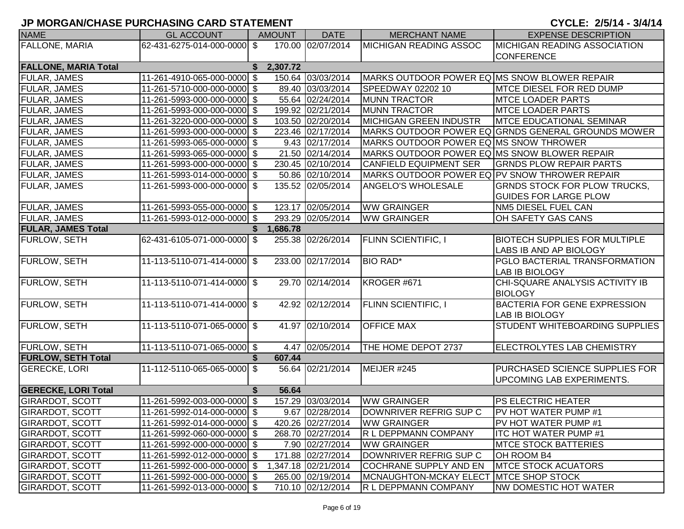| <b>NAME</b>                 | <b>GL ACCOUNT</b>           | <b>AMOUNT</b>  | <b>DATE</b>         | <b>MERCHANT NAME</b>                          | <b>EXPENSE DESCRIPTION</b>                         |
|-----------------------------|-----------------------------|----------------|---------------------|-----------------------------------------------|----------------------------------------------------|
| FALLONE, MARIA              | 62-431-6275-014-000-0000 \$ |                | 170.00 02/07/2014   | <b>MICHIGAN READING ASSOC</b>                 | <b>MICHIGAN READING ASSOCIATION</b>                |
|                             |                             |                |                     |                                               | <b>CONFERENCE</b>                                  |
| <b>FALLONE, MARIA Total</b> |                             | 2,307.72<br>S. |                     |                                               |                                                    |
| <b>FULAR, JAMES</b>         | 11-261-4910-065-000-0000 \$ |                | 150.64 03/03/2014   | MARKS OUTDOOR POWER EQ MS SNOW BLOWER REPAIR  |                                                    |
| FULAR, JAMES                | 11-261-5710-000-000-0000 \$ |                | 89.40 03/03/2014    | SPEEDWAY 02202 10                             | <b>MTCE DIESEL FOR RED DUMP</b>                    |
| FULAR, JAMES                | 11-261-5993-000-000-0000 \$ |                | 55.64 02/24/2014    | <b>MUNN TRACTOR</b>                           | <b>MTCE LOADER PARTS</b>                           |
| FULAR, JAMES                | 11-261-5993-000-000-0000 \$ |                | 199.92 02/21/2014   | <b>MUNN TRACTOR</b>                           | <b>MTCE LOADER PARTS</b>                           |
| FULAR, JAMES                | 11-261-3220-000-000-0000 \$ |                | 103.50 02/20/2014   | <b>MICHIGAN GREEN INDUSTR</b>                 | <b>MTCE EDUCATIONAL SEMINAR</b>                    |
| FULAR, JAMES                | 11-261-5993-000-000-0000 \$ |                | 223.46 02/17/2014   |                                               | MARKS OUTDOOR POWER EQ GRNDS GENERAL GROUNDS MOWER |
| FULAR, JAMES                | 11-261-5993-065-000-0000 \$ |                | 9.43 02/17/2014     | MARKS OUTDOOR POWER EQ MS SNOW THROWER        |                                                    |
| <b>FULAR, JAMES</b>         | 11-261-5993-065-000-0000 \$ |                | 21.50 02/14/2014    | MARKS OUTDOOR POWER EQ MS SNOW BLOWER REPAIR  |                                                    |
| <b>FULAR, JAMES</b>         | 11-261-5993-000-000-0000 \$ |                | 230.45 02/10/2014   | <b>CANFIELD EQUIPMENT SER</b>                 | <b>GRNDS PLOW REPAIR PARTS</b>                     |
| FULAR, JAMES                | 11-261-5993-014-000-0000 \$ |                | 50.86 02/10/2014    | MARKS OUTDOOR POWER EQ PV SNOW THROWER REPAIR |                                                    |
| <b>FULAR, JAMES</b>         | 11-261-5993-000-000-0000 \$ |                | 135.52 02/05/2014   | ANGELO'S WHOLESALE                            | <b>GRNDS STOCK FOR PLOW TRUCKS,</b>                |
|                             |                             |                |                     |                                               | <b>GUIDES FOR LARGE PLOW</b>                       |
| <b>FULAR, JAMES</b>         | 11-261-5993-055-000-0000 \$ |                | 123.17 02/05/2014   | <b>WW GRAINGER</b>                            | NM5 DIESEL FUEL CAN                                |
| <b>FULAR, JAMES</b>         | 11-261-5993-012-000-0000 \$ |                | 293.29 02/05/2014   | <b>WW GRAINGER</b>                            | OH SAFETY GAS CANS                                 |
| <b>FULAR, JAMES Total</b>   |                             | 1,686.78<br>S. |                     |                                               |                                                    |
| <b>FURLOW, SETH</b>         | 62-431-6105-071-000-0000 \$ |                | 255.38 02/26/2014   | <b>FLINN SCIENTIFIC, I</b>                    | <b>BIOTECH SUPPLIES FOR MULTIPLE</b>               |
|                             |                             |                |                     |                                               | LABS IB AND AP BIOLOGY                             |
| <b>FURLOW, SETH</b>         | 11-113-5110-071-414-0000 \$ |                | 233.00 02/17/2014   | <b>BIO RAD*</b>                               | PGLO BACTERIAL TRANSFORMATION                      |
|                             |                             |                |                     |                                               | <b>LAB IB BIOLOGY</b>                              |
| <b>FURLOW, SETH</b>         | 11-113-5110-071-414-0000 \$ |                | 29.70 02/14/2014    | <b>KROGER #671</b>                            | CHI-SQUARE ANALYSIS ACTIVITY IB                    |
|                             |                             |                |                     |                                               | <b>BIOLOGY</b>                                     |
| <b>FURLOW, SETH</b>         | 11-113-5110-071-414-0000 \$ |                | 42.92 02/12/2014    | <b>FLINN SCIENTIFIC, I</b>                    | <b>BACTERIA FOR GENE EXPRESSION</b>                |
|                             |                             |                |                     |                                               | <b>LAB IB BIOLOGY</b>                              |
| <b>FURLOW, SETH</b>         | 11-113-5110-071-065-0000 \$ |                | 41.97 02/10/2014    | <b>OFFICE MAX</b>                             | STUDENT WHITEBOARDING SUPPLIES                     |
|                             |                             |                |                     |                                               |                                                    |
| <b>FURLOW, SETH</b>         | 11-113-5110-071-065-0000 \$ |                | 4.47 02/05/2014     | THE HOME DEPOT 2737                           | ELECTROLYTES LAB CHEMISTRY                         |
| <b>FURLOW, SETH Total</b>   |                             | 607.44         |                     |                                               |                                                    |
| <b>GERECKE, LORI</b>        | 11-112-5110-065-065-0000 \$ |                | 56.64 02/21/2014    | MEIJER #245                                   | PURCHASED SCIENCE SUPPLIES FOR                     |
|                             |                             |                |                     |                                               | UPCOMING LAB EXPERIMENTS.                          |
| <b>GERECKE, LORI Total</b>  |                             | 56.64<br>\$    |                     |                                               |                                                    |
| <b>GIRARDOT, SCOTT</b>      | 11-261-5992-003-000-0000 \$ |                | 157.29 03/03/2014   | <b>WW GRAINGER</b>                            | <b>PS ELECTRIC HEATER</b>                          |
| <b>GIRARDOT, SCOTT</b>      | 11-261-5992-014-000-0000 \$ |                | 9.67 02/28/2014     | DOWNRIVER REFRIG SUP C                        | PV HOT WATER PUMP #1                               |
| <b>GIRARDOT, SCOTT</b>      | 11-261-5992-014-000-0000 \$ |                | 420.26 02/27/2014   | <b>WW GRAINGER</b>                            | <b>PV HOT WATER PUMP #1</b>                        |
| <b>GIRARDOT, SCOTT</b>      | 11-261-5992-060-000-0000 \$ |                | 268.70 02/27/2014   | R L DEPPMANN COMPANY                          | <b>ITC HOT WATER PUMP #1</b>                       |
| <b>GIRARDOT, SCOTT</b>      | 11-261-5992-000-000-0000 \$ |                | 7.90 02/27/2014     | <b>WW GRAINGER</b>                            | <b>MTCE STOCK BATTERIES</b>                        |
| <b>GIRARDOT, SCOTT</b>      | 11-261-5992-012-000-0000 \$ |                | 171.88 02/27/2014   | DOWNRIVER REFRIG SUP C                        | OH ROOM B4                                         |
| <b>GIRARDOT, SCOTT</b>      | 11-261-5992-000-000-0000 \$ |                | 1,347.18 02/21/2014 | COCHRANE SUPPLY AND EN                        | <b>MTCE STOCK ACUATORS</b>                         |
| <b>GIRARDOT, SCOTT</b>      | 11-261-5992-000-000-0000 \$ |                | 265.00 02/19/2014   | MCNAUGHTON-MCKAY ELECT MTCE SHOP STOCK        |                                                    |
| <b>GIRARDOT, SCOTT</b>      | 11-261-5992-013-000-0000 \$ |                | 710.10 02/12/2014   | R L DEPPMANN COMPANY                          | <b>NW DOMESTIC HOT WATER</b>                       |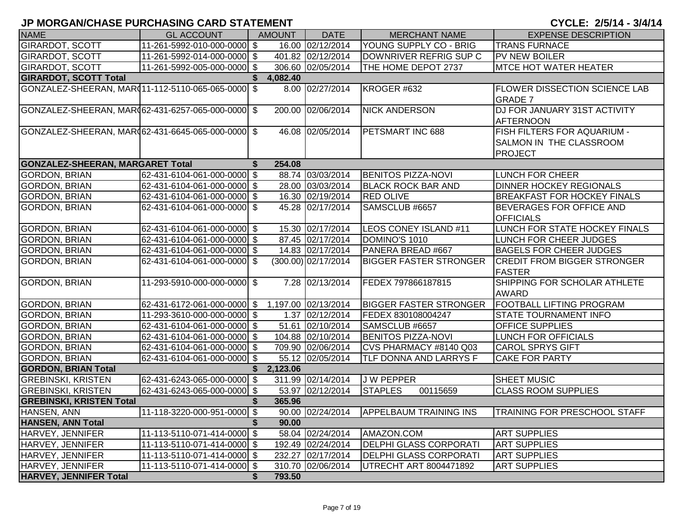| <b>NAME</b>                                        | <b>GL ACCOUNT</b>           | <b>AMOUNT</b> | <b>DATE</b>           | <b>MERCHANT NAME</b>          | <b>EXPENSE DESCRIPTION</b>                                                      |
|----------------------------------------------------|-----------------------------|---------------|-----------------------|-------------------------------|---------------------------------------------------------------------------------|
| <b>GIRARDOT, SCOTT</b>                             | 11-261-5992-010-000-0000 \$ |               | 16.00 02/12/2014      | YOUNG SUPPLY CO - BRIG        | <b>TRANS FURNACE</b>                                                            |
| <b>GIRARDOT, SCOTT</b>                             | 11-261-5992-014-000-0000 \$ |               | 401.82 02/12/2014     | DOWNRIVER REFRIG SUP C        | <b>PV NEW BOILER</b>                                                            |
| <b>GIRARDOT, SCOTT</b>                             | 11-261-5992-005-000-0000 \$ |               | 306.60 02/05/2014     | THE HOME DEPOT 2737           | <b>MTCE HOT WATER HEATER</b>                                                    |
| <b>GIRARDOT, SCOTT Total</b>                       |                             | 4,082.40      |                       |                               |                                                                                 |
| GONZALEZ-SHEERAN, MAR(11-112-5110-065-065-0000) \$ |                             |               | 8.00 02/27/2014       | KROGER #632                   | <b>FLOWER DISSECTION SCIENCE LAB</b><br><b>GRADE 7</b>                          |
| GONZALEZ-SHEERAN, MAR(62-431-6257-065-000-0000 \$  |                             |               | 200.00 02/06/2014     | <b>NICK ANDERSON</b>          | DJ FOR JANUARY 31ST ACTIVITY<br><b>AFTERNOON</b>                                |
| GONZALEZ-SHEERAN, MAR062-431-6645-065-000-0000 \$  |                             |               | 46.08 02/05/2014      | PETSMART INC 688              | <b>FISH FILTERS FOR AQUARIUM -</b><br>SALMON IN THE CLASSROOM<br><b>PROJECT</b> |
| <b>GONZALEZ-SHEERAN, MARGARET Total</b>            |                             | 254.08        |                       |                               |                                                                                 |
| <b>GORDON, BRIAN</b>                               | 62-431-6104-061-000-0000 \$ |               | 88.74 03/03/2014      | <b>BENITOS PIZZA-NOVI</b>     | LUNCH FOR CHEER                                                                 |
| <b>GORDON, BRIAN</b>                               | 62-431-6104-061-000-0000 \$ |               | 28.00 03/03/2014      | <b>BLACK ROCK BAR AND</b>     | <b>DINNER HOCKEY REGIONALS</b>                                                  |
| GORDON, BRIAN                                      | 62-431-6104-061-000-0000 \$ |               | 16.30 02/19/2014      | <b>RED OLIVE</b>              | <b>BREAKFAST FOR HOCKEY FINALS</b>                                              |
| GORDON, BRIAN                                      | 62-431-6104-061-000-0000 \$ |               | 45.28 02/17/2014      | SAMSCLUB #6657                | BEVERAGES FOR OFFICE AND<br><b>OFFICIALS</b>                                    |
| <b>GORDON, BRIAN</b>                               | 62-431-6104-061-000-0000 \$ |               | 15.30 02/17/2014      | LEOS CONEY ISLAND #11         | LUNCH FOR STATE HOCKEY FINALS                                                   |
| GORDON, BRIAN                                      | 62-431-6104-061-000-0000 \$ |               | 87.45 02/17/2014      | DOMINO'S 1010                 | LUNCH FOR CHEER JUDGES                                                          |
| <b>GORDON, BRIAN</b>                               | 62-431-6104-061-000-0000 \$ |               | 14.83 02/17/2014      | PANERA BREAD #667             | <b>BAGELS FOR CHEER JUDGES</b>                                                  |
| <b>GORDON, BRIAN</b>                               | 62-431-6104-061-000-0000 \$ |               | $(300.00)$ 02/17/2014 | <b>BIGGER FASTER STRONGER</b> | <b>CREDIT FROM BIGGER STRONGER</b><br><b>FASTER</b>                             |
| <b>GORDON, BRIAN</b>                               | 11-293-5910-000-000-0000 \$ |               | 7.28 02/13/2014       | FEDEX 797866187815            | SHIPPING FOR SCHOLAR ATHLETE<br><b>AWARD</b>                                    |
| <b>GORDON, BRIAN</b>                               | 62-431-6172-061-000-0000 \$ |               | 1,197.00 02/13/2014   | <b>BIGGER FASTER STRONGER</b> | <b>FOOTBALL LIFTING PROGRAM</b>                                                 |
| <b>GORDON, BRIAN</b>                               | 11-293-3610-000-000-0000 \$ |               | 1.37 02/12/2014       | FEDEX 830108004247            | <b>STATE TOURNAMENT INFO</b>                                                    |
| GORDON, BRIAN                                      | 62-431-6104-061-000-0000 \$ |               | 51.61 02/10/2014      | SAMSCLUB #6657                | <b>OFFICE SUPPLIES</b>                                                          |
| <b>GORDON, BRIAN</b>                               | 62-431-6104-061-000-0000 \$ |               | 104.88 02/10/2014     | <b>BENITOS PIZZA-NOVI</b>     | LUNCH FOR OFFICIALS                                                             |
| <b>GORDON, BRIAN</b>                               | 62-431-6104-061-000-0000 \$ |               | 709.90 02/06/2014     | CVS PHARMACY #8140 Q03        | <b>CAROL SPRYS GIFT</b>                                                         |
| GORDON, BRIAN                                      | 62-431-6104-061-000-0000 \$ |               | 55.12 02/05/2014      | TLF DONNA AND LARRYS F        | <b>CAKE FOR PARTY</b>                                                           |
| <b>GORDON, BRIAN Total</b>                         |                             | 2,123.06      |                       |                               |                                                                                 |
| <b>GREBINSKI, KRISTEN</b>                          | 62-431-6243-065-000-0000 \$ |               | 311.99 02/14/2014     | J W PEPPER                    | SHEET MUSIC                                                                     |
| <b>GREBINSKI, KRISTEN</b>                          | 62-431-6243-065-000-0000 \$ |               | 53.97 02/12/2014      | <b>STAPLES</b><br>00115659    | <b>CLASS ROOM SUPPLIES</b>                                                      |
| <b>GREBINSKI, KRISTEN Total</b>                    |                             | 365.96        |                       |                               |                                                                                 |
| HANSEN, ANN                                        | 11-118-3220-000-951-0000 \$ |               | 90.00 02/24/2014      | <b>APPELBAUM TRAINING INS</b> | TRAINING FOR PRESCHOOL STAFF                                                    |
| <b>HANSEN, ANN Total</b>                           |                             | \$<br>90.00   |                       |                               |                                                                                 |
| HARVEY, JENNIFER                                   | 11-113-5110-071-414-0000 \$ |               | 58.04 02/24/2014      | AMAZON.COM                    | <b>ART SUPPLIES</b>                                                             |
| HARVEY, JENNIFER                                   | 11-113-5110-071-414-0000 \$ |               | 192.49 02/24/2014     | <b>DELPHI GLASS CORPORATI</b> | <b>ART SUPPLIES</b>                                                             |
| HARVEY, JENNIFER                                   | 11-113-5110-071-414-0000 \$ |               | 232.27 02/17/2014     | <b>DELPHI GLASS CORPORATI</b> | <b>ART SUPPLIES</b>                                                             |
| HARVEY, JENNIFER                                   | 11-113-5110-071-414-0000 \$ |               | 310.70 02/06/2014     | UTRECHT ART 8004471892        | <b>ART SUPPLIES</b>                                                             |
| <b>HARVEY, JENNIFER Total</b>                      |                             | 793.50<br>\$  |                       |                               |                                                                                 |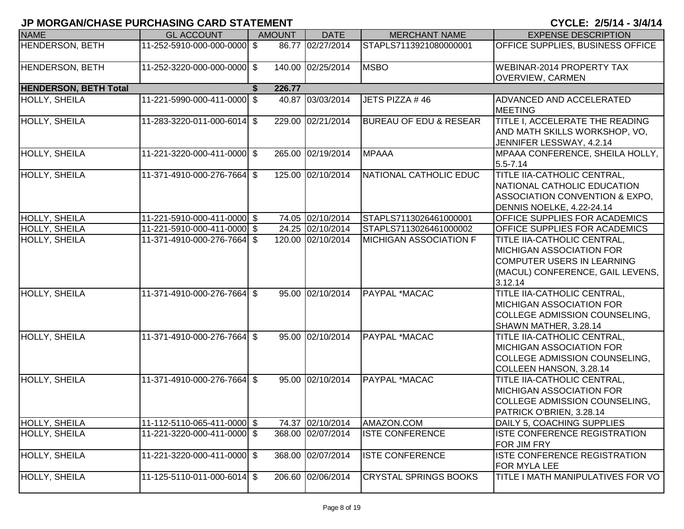| <b>NAME</b>                  | <b>GL ACCOUNT</b>           | <b>AMOUNT</b> | <b>DATE</b>       | <b>MERCHANT NAME</b>              | <b>EXPENSE DESCRIPTION</b>                                                                                                                  |
|------------------------------|-----------------------------|---------------|-------------------|-----------------------------------|---------------------------------------------------------------------------------------------------------------------------------------------|
| <b>HENDERSON, BETH</b>       | 11-252-5910-000-000-0000 \$ |               | 86.77 02/27/2014  | STAPLS7113921080000001            | OFFICE SUPPLIES, BUSINESS OFFICE                                                                                                            |
| HENDERSON, BETH              | 11-252-3220-000-000-0000 \$ |               | 140.00 02/25/2014 | <b>MSBO</b>                       | <b>WEBINAR-2014 PROPERTY TAX</b><br>OVERVIEW, CARMEN                                                                                        |
| <b>HENDERSON, BETH Total</b> |                             | 226.77        |                   |                                   |                                                                                                                                             |
| HOLLY, SHEILA                | 11-221-5990-000-411-0000 \$ |               | 40.87 03/03/2014  | JETS PIZZA #46                    | ADVANCED AND ACCELERATED<br><b>MEETING</b>                                                                                                  |
| <b>HOLLY, SHEILA</b>         | 11-283-3220-011-000-6014 \$ |               | 229.00 02/21/2014 | <b>BUREAU OF EDU &amp; RESEAR</b> | TITLE I, ACCELERATE THE READING<br>AND MATH SKILLS WORKSHOP, VO,<br>JENNIFER LESSWAY, 4.2.14                                                |
| <b>HOLLY, SHEILA</b>         | 11-221-3220-000-411-0000 \$ |               | 265.00 02/19/2014 | <b>MPAAA</b>                      | MPAAA CONFERENCE, SHEILA HOLLY,<br>$5.5 - 7.14$                                                                                             |
| <b>HOLLY, SHEILA</b>         | 11-371-4910-000-276-7664 \$ |               | 125.00 02/10/2014 | NATIONAL CATHOLIC EDUC            | TITLE IIA-CATHOLIC CENTRAL,<br>NATIONAL CATHOLIC EDUCATION<br>ASSOCIATION CONVENTION & EXPO,<br>DENNIS NOELKE, 4.22-24.14                   |
| HOLLY, SHEILA                | 11-221-5910-000-411-0000 \$ |               | 74.05 02/10/2014  | STAPLS7113026461000001            | OFFICE SUPPLIES FOR ACADEMICS                                                                                                               |
| HOLLY, SHEILA                | 11-221-5910-000-411-0000 \$ |               | 24.25 02/10/2014  | STAPLS7113026461000002            | OFFICE SUPPLIES FOR ACADEMICS                                                                                                               |
| HOLLY, SHEILA                | 11-371-4910-000-276-7664 \$ |               | 120.00 02/10/2014 | <b>MICHIGAN ASSOCIATION F</b>     | TITLE IIA-CATHOLIC CENTRAL,<br><b>MICHIGAN ASSOCIATION FOR</b><br>COMPUTER USERS IN LEARNING<br>(MACUL) CONFERENCE, GAIL LEVENS,<br>3.12.14 |
| <b>HOLLY, SHEILA</b>         | 11-371-4910-000-276-7664 \$ |               | 95.00 02/10/2014  | PAYPAL *MACAC                     | TITLE IIA-CATHOLIC CENTRAL,<br><b>MICHIGAN ASSOCIATION FOR</b><br>COLLEGE ADMISSION COUNSELING,<br>SHAWN MATHER, 3.28.14                    |
| HOLLY, SHEILA                | 11-371-4910-000-276-7664 \$ |               | 95.00 02/10/2014  | PAYPAL *MACAC                     | TITLE IIA-CATHOLIC CENTRAL,<br><b>MICHIGAN ASSOCIATION FOR</b><br>COLLEGE ADMISSION COUNSELING,<br>COLLEEN HANSON, 3.28.14                  |
| <b>HOLLY, SHEILA</b>         | 11-371-4910-000-276-7664 \$ |               | 95.00 02/10/2014  | PAYPAL *MACAC                     | TITLE IIA-CATHOLIC CENTRAL,<br><b>MICHIGAN ASSOCIATION FOR</b><br>COLLEGE ADMISSION COUNSELING,<br>PATRICK O'BRIEN, 3.28.14                 |
| HOLLY, SHEILA                | 11-112-5110-065-411-0000 \$ |               | 74.37 02/10/2014  | AMAZON.COM                        | DAILY 5, COACHING SUPPLIES                                                                                                                  |
| <b>HOLLY, SHEILA</b>         | 11-221-3220-000-411-0000 \$ |               | 368.00 02/07/2014 | <b>ISTE CONFERENCE</b>            | <b>ISTE CONFERENCE REGISTRATION</b><br>FOR JIM FRY                                                                                          |
| HOLLY, SHEILA                | 11-221-3220-000-411-0000 \$ |               | 368.00 02/07/2014 | <b>ISTE CONFERENCE</b>            | ISTE CONFERENCE REGISTRATION<br>FOR MYLA LEE                                                                                                |
| HOLLY, SHEILA                | 11-125-5110-011-000-6014 \$ |               | 206.60 02/06/2014 | <b>CRYSTAL SPRINGS BOOKS</b>      | TITLE I MATH MANIPULATIVES FOR VO                                                                                                           |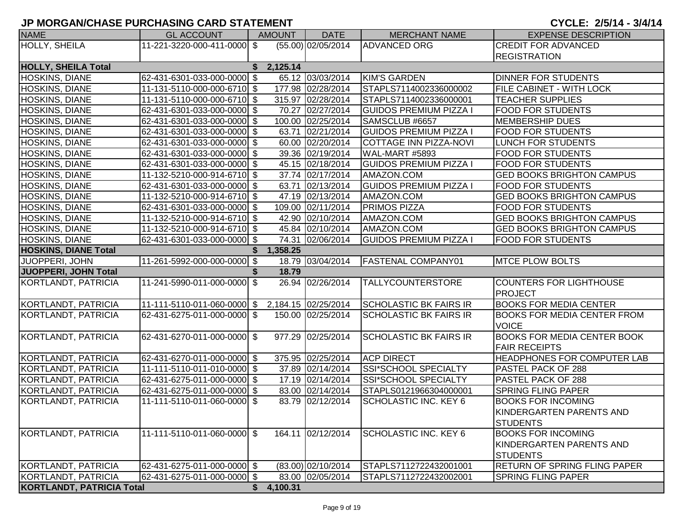| <b>NAME</b>                      | <b>GL ACCOUNT</b>                               | <b>AMOUNT</b>  | <b>DATE</b>        | <b>MERCHANT NAME</b>          | <b>EXPENSE DESCRIPTION</b>          |
|----------------------------------|-------------------------------------------------|----------------|--------------------|-------------------------------|-------------------------------------|
| HOLLY, SHEILA                    | 11-221-3220-000-411-0000 \$                     |                | (55.00) 02/05/2014 | <b>ADVANCED ORG</b>           | <b>CREDIT FOR ADVANCED</b>          |
|                                  |                                                 |                |                    |                               | <b>REGISTRATION</b>                 |
| <b>HOLLY, SHEILA Total</b>       |                                                 | 2,125.14<br>S. |                    |                               |                                     |
| <b>HOSKINS, DIANE</b>            | 62-431-6301-033-000-0000 \$                     |                | 65.12 03/03/2014   | <b>KIM'S GARDEN</b>           | <b>DINNER FOR STUDENTS</b>          |
| <b>HOSKINS, DIANE</b>            | 11-131-5110-000-000-6710 \$                     |                | 177.98 02/28/2014  | STAPLS7114002336000002        | <b>FILE CABINET - WITH LOCK</b>     |
| HOSKINS, DIANE                   | 11-131-5110-000-000-6710 \$                     |                | 315.97 02/28/2014  | STAPLS7114002336000001        | <b>TEACHER SUPPLIES</b>             |
| HOSKINS, DIANE                   | 62-431-6301-033-000-0000 \$                     |                | 70.27 02/27/2014   | <b>GUIDOS PREMIUM PIZZA I</b> | <b>FOOD FOR STUDENTS</b>            |
| <b>HOSKINS, DIANE</b>            | 62-431-6301-033-000-0000 \$                     |                | 100.00 02/25/2014  | SAMSCLUB #6657                | <b>MEMBERSHIP DUES</b>              |
| <b>HOSKINS, DIANE</b>            | 62-431-6301-033-000-0000 \$                     |                | 63.71 02/21/2014   | <b>GUIDOS PREMIUM PIZZA I</b> | <b>FOOD FOR STUDENTS</b>            |
| HOSKINS, DIANE                   | 62-431-6301-033-000-0000 \$                     |                | 60.00 02/20/2014   | <b>COTTAGE INN PIZZA-NOVI</b> | LUNCH FOR STUDENTS                  |
| HOSKINS, DIANE                   | 62-431-6301-033-000-0000 \$                     |                | 39.36 02/19/2014   | WAL-MART #5893                | <b>FOOD FOR STUDENTS</b>            |
| <b>HOSKINS, DIANE</b>            | 62-431-6301-033-000-0000 \$                     |                | 45.15 02/18/2014   | <b>GUIDOS PREMIUM PIZZA I</b> | <b>FOOD FOR STUDENTS</b>            |
| HOSKINS, DIANE                   | 11-132-5210-000-914-6710 \$                     |                | 37.74 02/17/2014   | AMAZON.COM                    | <b>GED BOOKS BRIGHTON CAMPUS</b>    |
| HOSKINS, DIANE                   | 62-431-6301-033-000-0000 \$                     |                | 63.71 02/13/2014   | <b>GUIDOS PREMIUM PIZZA I</b> | <b>FOOD FOR STUDENTS</b>            |
| <b>HOSKINS, DIANE</b>            | 11-132-5210-000-914-6710 \$                     |                | 47.19 02/13/2014   | AMAZON.COM                    | <b>GED BOOKS BRIGHTON CAMPUS</b>    |
| HOSKINS, DIANE                   | 62-431-6301-033-000-0000 \$                     |                | 109.00 02/11/2014  | PRIMOS PIZZA                  | <b>FOOD FOR STUDENTS</b>            |
| HOSKINS, DIANE                   | 11-132-5210-000-914-6710 \$                     |                | 42.90 02/10/2014   | AMAZON.COM                    | <b>GED BOOKS BRIGHTON CAMPUS</b>    |
| <b>HOSKINS, DIANE</b>            | 11-132-5210-000-914-6710 \$                     |                | 45.84 02/10/2014   | AMAZON.COM                    | <b>GED BOOKS BRIGHTON CAMPUS</b>    |
| <b>HOSKINS, DIANE</b>            | 62-431-6301-033-000-0000 \$                     |                | 74.31 02/06/2014   | <b>GUIDOS PREMIUM PIZZA I</b> | <b>FOOD FOR STUDENTS</b>            |
| <b>HOSKINS, DIANE Total</b>      |                                                 | 1,358.25<br>S. |                    |                               |                                     |
| JUOPPERI, JOHN                   | 11-261-5992-000-000-0000 \$                     |                | 18.79 03/04/2014   | <b>FASTENAL COMPANY01</b>     | <b>MTCE PLOW BOLTS</b>              |
| <b>JUOPPERI, JOHN Total</b>      |                                                 | 18.79<br>S.    |                    |                               |                                     |
| KORTLANDT, PATRICIA              | 11-241-5990-011-000-0000 \$                     |                | 26.94 02/26/2014   | <b>TALLYCOUNTERSTORE</b>      | <b>COUNTERS FOR LIGHTHOUSE</b>      |
|                                  |                                                 |                |                    |                               | PROJECT                             |
| KORTLANDT, PATRICIA              | 11-111-5110-011-060-0000 \$ 2,184.15 02/25/2014 |                |                    | <b>SCHOLASTIC BK FAIRS IR</b> | <b>BOOKS FOR MEDIA CENTER</b>       |
| KORTLANDT, PATRICIA              | 62-431-6275-011-000-0000 \$                     |                | 150.00 02/25/2014  | <b>SCHOLASTIC BK FAIRS IR</b> | <b>BOOKS FOR MEDIA CENTER FROM</b>  |
|                                  |                                                 |                |                    |                               | <b>VOICE</b>                        |
| KORTLANDT, PATRICIA              | 62-431-6270-011-000-0000 \$                     |                | 977.29 02/25/2014  | <b>SCHOLASTIC BK FAIRS IR</b> | <b>BOOKS FOR MEDIA CENTER BOOK</b>  |
|                                  |                                                 |                |                    |                               | <b>FAIR RECEIPTS</b>                |
| <b>KORTLANDT, PATRICIA</b>       | 62-431-6270-011-000-0000 \$                     |                | 375.95 02/25/2014  | <b>ACP DIRECT</b>             | <b>HEADPHONES FOR COMPUTER LAB</b>  |
| KORTLANDT, PATRICIA              | 11-111-5110-011-010-0000 \$                     |                | 37.89 02/14/2014   | SSI*SCHOOL SPECIALTY          | <b>PASTEL PACK OF 288</b>           |
| KORTLANDT, PATRICIA              | 62-431-6275-011-000-0000 \$                     |                | 17.19 02/14/2014   | SSI*SCHOOL SPECIALTY          | <b>PASTEL PACK OF 288</b>           |
| KORTLANDT, PATRICIA              | 62-431-6275-011-000-0000 \$                     |                | 83.00 02/14/2014   | STAPLS0121966304000001        | <b>SPRING FLING PAPER</b>           |
| KORTLANDT, PATRICIA              | 11-111-5110-011-060-0000 \$                     |                | 83.79 02/12/2014   | <b>SCHOLASTIC INC. KEY 6</b>  | <b>BOOKS FOR INCOMING</b>           |
|                                  |                                                 |                |                    |                               | KINDERGARTEN PARENTS AND            |
|                                  |                                                 |                |                    |                               | <b>STUDENTS</b>                     |
| KORTLANDT, PATRICIA              | 11-111-5110-011-060-0000 \$                     |                | 164.11 02/12/2014  | <b>SCHOLASTIC INC. KEY 6</b>  | <b>BOOKS FOR INCOMING</b>           |
|                                  |                                                 |                |                    |                               | KINDERGARTEN PARENTS AND            |
|                                  |                                                 |                |                    |                               | <b>STUDENTS</b>                     |
| KORTLANDT, PATRICIA              | 62-431-6275-011-000-0000 \$                     |                | (83.00) 02/10/2014 | STAPLS7112722432001001        | <b>RETURN OF SPRING FLING PAPER</b> |
| KORTLANDT, PATRICIA              | 62-431-6275-011-000-0000 \$                     |                | 83.00 02/05/2014   | STAPLS7112722432002001        | <b>SPRING FLING PAPER</b>           |
| <b>KORTLANDT, PATRICIA Total</b> |                                                 | \$4,100.31     |                    |                               |                                     |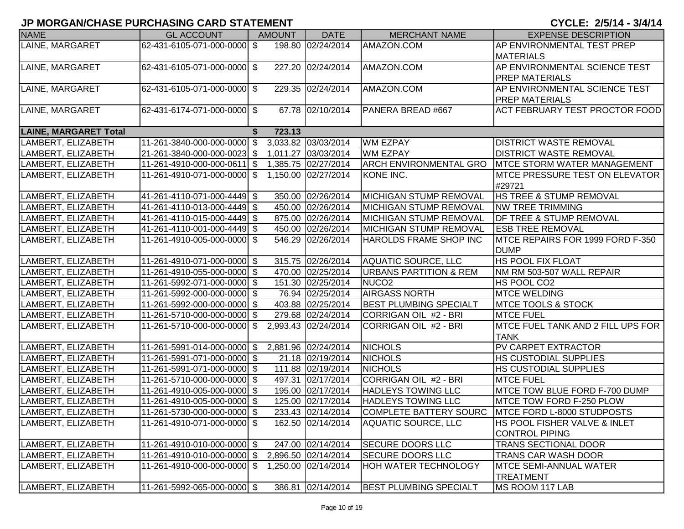| <b>NAME</b>                              | <b>GL ACCOUNT</b>                                          | <b>AMOUNT</b> | <b>DATE</b>         | <b>MERCHANT NAME</b>                                       | <b>EXPENSE DESCRIPTION</b>                                   |
|------------------------------------------|------------------------------------------------------------|---------------|---------------------|------------------------------------------------------------|--------------------------------------------------------------|
| LAINE, MARGARET                          | 62-431-6105-071-000-0000 \$                                |               | 198.80 02/24/2014   | AMAZON.COM                                                 | AP ENVIRONMENTAL TEST PREP                                   |
|                                          |                                                            |               |                     |                                                            | <b>MATERIALS</b>                                             |
| LAINE, MARGARET                          | 62-431-6105-071-000-0000 \$                                |               | 227.20 02/24/2014   | AMAZON.COM                                                 | AP ENVIRONMENTAL SCIENCE TEST                                |
|                                          |                                                            |               |                     |                                                            | <b>PREP MATERIALS</b>                                        |
| LAINE, MARGARET                          | 62-431-6105-071-000-0000 \$                                |               | 229.35 02/24/2014   | AMAZON.COM                                                 | AP ENVIRONMENTAL SCIENCE TEST                                |
|                                          |                                                            |               |                     |                                                            | <b>PREP MATERIALS</b>                                        |
| LAINE, MARGARET                          | 62-431-6174-071-000-0000 \$                                |               | 67.78 02/10/2014    | PANERA BREAD #667                                          | <b>ACT FEBRUARY TEST PROCTOR FOOD</b>                        |
| <b>LAINE, MARGARET Total</b>             |                                                            | 723.13        |                     |                                                            |                                                              |
| LAMBERT, ELIZABETH                       | 11-261-3840-000-000-0000 \$                                |               | 3,033.82 03/03/2014 | <b>WM EZPAY</b>                                            | <b>DISTRICT WASTE REMOVAL</b>                                |
| LAMBERT, ELIZABETH                       | 21-261-3840-000-000-0023 \$                                |               | 1,011.27 03/03/2014 | <b>WM EZPAY</b>                                            | <b>DISTRICT WASTE REMOVAL</b>                                |
| LAMBERT, ELIZABETH                       | 11-261-4910-000-000-0611 \$                                |               | 1,385.75 02/27/2014 | <b>ARCH ENVIRONMENTAL GRO</b>                              | <b>IMTCE STORM WATER MANAGEMENT</b>                          |
| LAMBERT, ELIZABETH                       | 11-261-4910-071-000-0000 \$                                |               | 1,150.00 02/27/2014 | KONE INC.                                                  | <b>IMTCE PRESSURE TEST ON ELEVATOR</b>                       |
|                                          |                                                            |               |                     |                                                            | #29721                                                       |
| LAMBERT, ELIZABETH                       | 41-261-4110-071-000-4449 \$                                |               | 350.00 02/26/2014   | MICHIGAN STUMP REMOVAL                                     | <b>HS TREE &amp; STUMP REMOVAL</b>                           |
| LAMBERT, ELIZABETH                       | 41-261-4110-013-000-4449 \$                                |               | 450.00 02/26/2014   | MICHIGAN STUMP REMOVAL                                     | <b>NW TREE TRIMMING</b>                                      |
| LAMBERT, ELIZABETH                       | 41-261-4110-015-000-4449 \$                                |               | 875.00 02/26/2014   | <b>MICHIGAN STUMP REMOVAL</b>                              | <b>DF TREE &amp; STUMP REMOVAL</b>                           |
| LAMBERT, ELIZABETH                       | 41-261-4110-001-000-4449 \$                                |               | 450.00 02/26/2014   | <b>MICHIGAN STUMP REMOVAL</b>                              | <b>ESB TREE REMOVAL</b>                                      |
| LAMBERT, ELIZABETH                       | 11-261-4910-005-000-0000 \$                                |               | 546.29 02/26/2014   | HAROLDS FRAME SHOP INC                                     | MTCE REPAIRS FOR 1999 FORD F-350                             |
|                                          |                                                            |               |                     |                                                            | <b>DUMP</b>                                                  |
| LAMBERT, ELIZABETH                       | 11-261-4910-071-000-0000 \$                                |               | 315.75 02/26/2014   | <b>AQUATIC SOURCE, LLC</b>                                 | HS POOL FIX FLOAT                                            |
| LAMBERT, ELIZABETH                       | 11-261-4910-055-000-0000 \$                                |               | 470.00 02/25/2014   | <b>URBANS PARTITION &amp; REM</b>                          | NM RM 503-507 WALL REPAIR                                    |
| LAMBERT, ELIZABETH                       | 11-261-5992-071-000-0000 \$                                |               | 151.30 02/25/2014   | NUCO <sub>2</sub>                                          | HS POOL CO2                                                  |
| LAMBERT, ELIZABETH                       | 11-261-5992-000-000-0000 \$                                |               | 76.94 02/25/2014    | <b>AIRGASS NORTH</b>                                       | <b>MTCE WELDING</b>                                          |
| LAMBERT, ELIZABETH                       | 11-261-5992-000-000-0000 \$                                |               | 403.88 02/25/2014   | <b>BEST PLUMBING SPECIALT</b>                              | <b>MTCE TOOLS &amp; STOCK</b>                                |
| LAMBERT, ELIZABETH                       | 11-261-5710-000-000-0000 \$                                |               | 279.68 02/24/2014   | CORRIGAN OIL #2 - BRI                                      | <b>MTCE FUEL</b>                                             |
| LAMBERT, ELIZABETH                       | 11-261-5710-000-000-0000 \$                                |               | 2,993.43 02/24/2014 | CORRIGAN OIL #2 - BRI                                      | MTCE FUEL TANK AND 2 FILL UPS FOR<br><b>TANK</b>             |
| LAMBERT, ELIZABETH                       | 11-261-5991-014-000-0000 \$                                |               | 2,881.96 02/24/2014 | <b>NICHOLS</b>                                             | <b>PV CARPET EXTRACTOR</b>                                   |
|                                          | 11-261-5991-071-000-0000 \$                                |               | 21.18 02/19/2014    | <b>NICHOLS</b>                                             |                                                              |
| LAMBERT, ELIZABETH<br>LAMBERT, ELIZABETH | 11-261-5991-071-000-0000 \$                                |               | 111.88 02/19/2014   | <b>NICHOLS</b>                                             | <b>HS CUSTODIAL SUPPLIES</b><br><b>HS CUSTODIAL SUPPLIES</b> |
| LAMBERT, ELIZABETH                       | 11-261-5710-000-000-0000 \$                                |               | 497.31 02/17/2014   | CORRIGAN OIL #2 - BRI                                      | <b>MTCE FUEL</b>                                             |
| LAMBERT, ELIZABETH                       | 11-261-4910-005-000-0000 \$                                |               | 195.00 02/17/2014   | <b>HADLEYS TOWING LLC</b>                                  | MTCE TOW BLUE FORD F-700 DUMP                                |
|                                          |                                                            |               | 125.00 02/17/2014   |                                                            | MTCE TOW FORD F-250 PLOW                                     |
| LAMBERT, ELIZABETH<br>LAMBERT, ELIZABETH | 11-261-4910-005-000-0000 \$<br>11-261-5730-000-000-0000 \$ |               | 233.43 02/14/2014   | <b>HADLEYS TOWING LLC</b><br><b>COMPLETE BATTERY SOURC</b> | <b>IMTCE FORD L-8000 STUDPOSTS</b>                           |
|                                          |                                                            |               |                     | <b>AQUATIC SOURCE, LLC</b>                                 | <b>HS POOL FISHER VALVE &amp; INLET</b>                      |
| LAMBERT, ELIZABETH                       | 11-261-4910-071-000-0000 \$                                |               | 162.50 02/14/2014   |                                                            | <b>CONTROL PIPING</b>                                        |
| LAMBERT, ELIZABETH                       | 11-261-4910-010-000-0000 \$                                |               | 247.00 02/14/2014   | <b>SECURE DOORS LLC</b>                                    | <b>TRANS SECTIONAL DOOR</b>                                  |
| LAMBERT, ELIZABETH                       | 11-261-4910-010-000-0000 \$                                |               | 2,896.50 02/14/2014 | <b>SECURE DOORS LLC</b>                                    | TRANS CAR WASH DOOR                                          |
| LAMBERT, ELIZABETH                       | 11-261-4910-000-000-0000 \$                                |               | 1,250.00 02/14/2014 | <b>HOH WATER TECHNOLOGY</b>                                | <b>MTCE SEMI-ANNUAL WATER</b>                                |
|                                          |                                                            |               |                     |                                                            | <b>TREATMENT</b>                                             |
| LAMBERT, ELIZABETH                       | 11-261-5992-065-000-0000 \$                                |               | 386.81 02/14/2014   | <b>BEST PLUMBING SPECIALT</b>                              | MS ROOM 117 LAB                                              |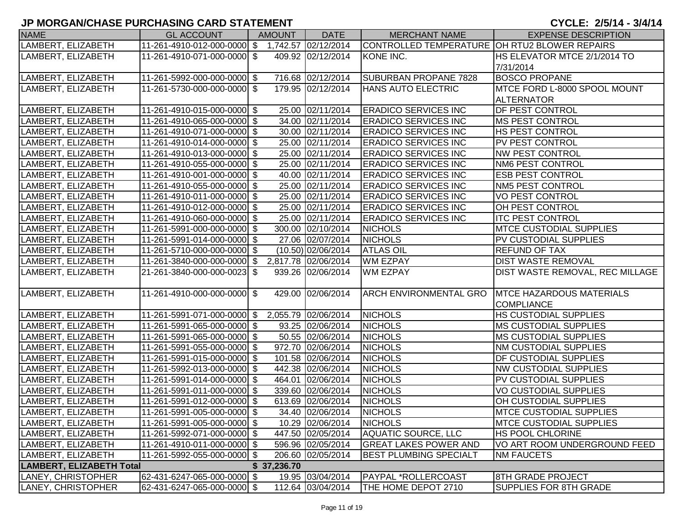| <b>NAME</b>                     | <b>GL ACCOUNT</b>                               | <b>AMOUNT</b> | <b>DATE</b>          | <b>MERCHANT NAME</b>                          | <b>EXPENSE DESCRIPTION</b>      |
|---------------------------------|-------------------------------------------------|---------------|----------------------|-----------------------------------------------|---------------------------------|
| LAMBERT, ELIZABETH              | 11-261-4910-012-000-0000 \$ 1,742.57 02/12/2014 |               |                      | CONTROLLED TEMPERATURE OH RTU2 BLOWER REPAIRS |                                 |
| LAMBERT, ELIZABETH              | 11-261-4910-071-000-0000 \$                     |               | 409.92 02/12/2014    | KONE INC.                                     | HS ELEVATOR MTCE 2/1/2014 TO    |
|                                 |                                                 |               |                      |                                               | 7/31/2014                       |
| LAMBERT, ELIZABETH              | 11-261-5992-000-000-0000 \$                     |               | 716.68 02/12/2014    | SUBURBAN PROPANE 7828                         | <b>BOSCO PROPANE</b>            |
| LAMBERT, ELIZABETH              | 11-261-5730-000-000-0000 \$                     |               | 179.95 02/12/2014    | <b>HANS AUTO ELECTRIC</b>                     | MTCE FORD L-8000 SPOOL MOUNT    |
|                                 |                                                 |               |                      |                                               | <b>ALTERNATOR</b>               |
| LAMBERT, ELIZABETH              | 11-261-4910-015-000-0000 \$                     |               | 25.00 02/11/2014     | <b>ERADICO SERVICES INC</b>                   | <b>DF PEST CONTROL</b>          |
| LAMBERT, ELIZABETH              | 11-261-4910-065-000-0000 \$                     |               | 34.00 02/11/2014     | <b>ERADICO SERVICES INC</b>                   | <b>MS PEST CONTROL</b>          |
| LAMBERT, ELIZABETH              | 11-261-4910-071-000-0000 \$                     |               | 30.00 02/11/2014     | <b>ERADICO SERVICES INC</b>                   | <b>HS PEST CONTROL</b>          |
| LAMBERT, ELIZABETH              | 11-261-4910-014-000-0000 \$                     |               | 25.00 02/11/2014     | <b>ERADICO SERVICES INC</b>                   | PV PEST CONTROL                 |
| LAMBERT, ELIZABETH              | 11-261-4910-013-000-0000 \$                     |               | 25.00 02/11/2014     | <b>ERADICO SERVICES INC</b>                   | <b>NW PEST CONTROL</b>          |
| LAMBERT, ELIZABETH              | 11-261-4910-055-000-0000 \$                     |               | 25.00 02/11/2014     | <b>ERADICO SERVICES INC</b>                   | NM6 PEST CONTROL                |
| LAMBERT, ELIZABETH              | 11-261-4910-001-000-0000 \$                     |               | 40.00 02/11/2014     | <b>ERADICO SERVICES INC</b>                   | <b>ESB PEST CONTROL</b>         |
| LAMBERT, ELIZABETH              | 11-261-4910-055-000-0000 \$                     |               | 25.00 02/11/2014     | <b>ERADICO SERVICES INC</b>                   | <b>NM5 PEST CONTROL</b>         |
| LAMBERT, ELIZABETH              | 11-261-4910-011-000-0000 \$                     |               | 25.00 02/11/2014     | <b>ERADICO SERVICES INC</b>                   | <b>VO PEST CONTROL</b>          |
| LAMBERT, ELIZABETH              | 11-261-4910-012-000-0000 \$                     |               | 25.00 02/11/2014     | <b>ERADICO SERVICES INC</b>                   | OH PEST CONTROL                 |
| LAMBERT, ELIZABETH              | 11-261-4910-060-000-0000 \$                     |               | 25.00 02/11/2014     | <b>ERADICO SERVICES INC</b>                   | <b>ITC PEST CONTROL</b>         |
| LAMBERT, ELIZABETH              | 11-261-5991-000-000-0000 \$                     |               | 300.00 02/10/2014    | <b>NICHOLS</b>                                | <b>MTCE CUSTODIAL SUPPLIES</b>  |
| LAMBERT, ELIZABETH              | 11-261-5991-014-000-0000 \$                     |               | 27.06 02/07/2014     | <b>NICHOLS</b>                                | <b>PV CUSTODIAL SUPPLIES</b>    |
| LAMBERT, ELIZABETH              | 11-261-5710-000-000-0000 \$                     |               | $(10.50)$ 02/06/2014 | <b>ATLAS OIL</b>                              | <b>REFUND OF TAX</b>            |
| LAMBERT, ELIZABETH              | 11-261-3840-000-000-0000 \$                     |               | 2,817.78 02/06/2014  | <b>WM EZPAY</b>                               | <b>DIST WASTE REMOVAL</b>       |
| LAMBERT, ELIZABETH              | 21-261-3840-000-000-0023 \$                     |               | 939.26 02/06/2014    | <b>WM EZPAY</b>                               | DIST WASTE REMOVAL, REC MILLAGE |
|                                 |                                                 |               |                      |                                               |                                 |
| LAMBERT, ELIZABETH              | 11-261-4910-000-000-0000 \$                     |               | 429.00 02/06/2014    | ARCH ENVIRONMENTAL GRO                        | <b>MTCE HAZARDOUS MATERIALS</b> |
|                                 |                                                 |               |                      |                                               | <b>COMPLIANCE</b>               |
| LAMBERT, ELIZABETH              | 11-261-5991-071-000-0000 \$                     |               | 2,055.79 02/06/2014  | <b>NICHOLS</b>                                | <b>HS CUSTODIAL SUPPLIES</b>    |
| LAMBERT, ELIZABETH              | 11-261-5991-065-000-0000 \$                     |               | 93.25 02/06/2014     | <b>NICHOLS</b>                                | <b>MS CUSTODIAL SUPPLIES</b>    |
| LAMBERT, ELIZABETH              | 11-261-5991-065-000-0000 \$                     |               | 50.55 02/06/2014     | <b>NICHOLS</b>                                | <b>MS CUSTODIAL SUPPLIES</b>    |
| LAMBERT, ELIZABETH              | 11-261-5991-055-000-0000 \$                     |               | 972.70 02/06/2014    | <b>NICHOLS</b>                                | <b>NM CUSTODIAL SUPPLIES</b>    |
| LAMBERT, ELIZABETH              | 11-261-5991-015-000-0000 \$                     |               | 101.58 02/06/2014    | <b>NICHOLS</b>                                | <b>DF CUSTODIAL SUPPLIES</b>    |
| LAMBERT, ELIZABETH              | 11-261-5992-013-000-0000 \$                     |               | 442.38 02/06/2014    | <b>NICHOLS</b>                                | <b>NW CUSTODIAL SUPPLIES</b>    |
| LAMBERT, ELIZABETH              | 11-261-5991-014-000-0000 \$                     |               | 464.01 02/06/2014    | <b>NICHOLS</b>                                | <b>PV CUSTODIAL SUPPLIES</b>    |
| LAMBERT, ELIZABETH              | 11-261-5991-011-000-0000 \$                     |               | 339.60 02/06/2014    | <b>NICHOLS</b>                                | <b>VO CUSTODIAL SUPPLIES</b>    |
| LAMBERT, ELIZABETH              | 11-261-5991-012-000-0000 \$                     |               | 613.69 02/06/2014    | <b>NICHOLS</b>                                | OH CUSTODIAL SUPPLIES           |
| LAMBERT, ELIZABETH              | 11-261-5991-005-000-0000 \$                     |               | 34.40 02/06/2014     | <b>NICHOLS</b>                                | <b>MTCE CUSTODIAL SUPPLIES</b>  |
| LAMBERT, ELIZABETH              | 11-261-5991-005-000-0000 \$                     |               | 10.29 02/06/2014     | <b>NICHOLS</b>                                | <b>IMTCE CUSTODIAL SUPPLIES</b> |
| LAMBERT, ELIZABETH              | 11-261-5992-071-000-0000 \$                     |               | 447.50 02/05/2014    | <b>AQUATIC SOURCE, LLC</b>                    | <b>HS POOL CHLORINE</b>         |
| LAMBERT, ELIZABETH              | 11-261-4910-011-000-0000 \$                     |               | 596.96 02/05/2014    | <b>GREAT LAKES POWER AND</b>                  | VO ART ROOM UNDERGROUND FEED    |
| LAMBERT, ELIZABETH              | 11-261-5992-055-000-0000 \$                     |               | 206.60 02/05/2014    | BEST PLUMBING SPECIALT                        | <b>NM FAUCETS</b>               |
| <b>LAMBERT, ELIZABETH Total</b> |                                                 | \$37,236.70   |                      |                                               |                                 |
| LANEY, CHRISTOPHER              | 62-431-6247-065-000-0000 \$                     |               | 19.95 03/04/2014     | PAYPAL *ROLLERCOAST                           | <b>8TH GRADE PROJECT</b>        |
| LANEY, CHRISTOPHER              | 62-431-6247-065-000-0000 \$                     |               | 112.64 03/04/2014    | THE HOME DEPOT 2710                           | <b>SUPPLIES FOR 8TH GRADE</b>   |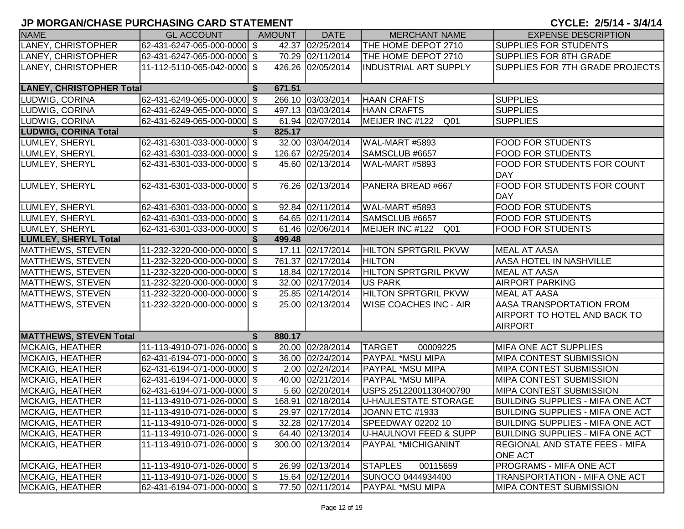| <b>NAME</b>                     | <b>GL ACCOUNT</b>           |   | <b>AMOUNT</b> | <b>DATE</b>       | <b>MERCHANT NAME</b>          | <b>EXPENSE DESCRIPTION</b>                                                               |
|---------------------------------|-----------------------------|---|---------------|-------------------|-------------------------------|------------------------------------------------------------------------------------------|
| LANEY, CHRISTOPHER              | 62-431-6247-065-000-0000 \$ |   |               | 42.37 02/25/2014  | THE HOME DEPOT 2710           | <b>SUPPLIES FOR STUDENTS</b>                                                             |
| LANEY, CHRISTOPHER              | 62-431-6247-065-000-0000 \$ |   |               | 70.29 02/11/2014  | THE HOME DEPOT 2710           | <b>SUPPLIES FOR 8TH GRADE</b>                                                            |
| LANEY, CHRISTOPHER              | 11-112-5110-065-042-0000 \$ |   |               | 426.26 02/05/2014 | <b>INDUSTRIAL ART SUPPLY</b>  | SUPPLIES FOR 7TH GRADE PROJECTS                                                          |
| <b>LANEY, CHRISTOPHER Total</b> |                             | S | 671.51        |                   |                               |                                                                                          |
| LUDWIG, CORINA                  | 62-431-6249-065-000-0000 \$ |   |               | 266.10 03/03/2014 | <b>HAAN CRAFTS</b>            | <b>SUPPLIES</b>                                                                          |
| LUDWIG, CORINA                  | 62-431-6249-065-000-0000 \$ |   |               | 497.13 03/03/2014 | <b>HAAN CRAFTS</b>            | <b>SUPPLIES</b>                                                                          |
| LUDWIG, CORINA                  | 62-431-6249-065-000-0000 \$ |   |               | 61.94 02/07/2014  | MEIJER INC #122<br>Q01        | <b>SUPPLIES</b>                                                                          |
| <b>LUDWIG, CORINA Total</b>     |                             |   | 825.17        |                   |                               |                                                                                          |
| LUMLEY, SHERYL                  | 62-431-6301-033-000-0000 \$ |   |               | 32.00 03/04/2014  | WAL-MART #5893                | <b>FOOD FOR STUDENTS</b>                                                                 |
| LUMLEY, SHERYL                  | 62-431-6301-033-000-0000 \$ |   |               | 126.67 02/25/2014 | SAMSCLUB #6657                | <b>FOOD FOR STUDENTS</b>                                                                 |
| LUMLEY, SHERYL                  | 62-431-6301-033-000-0000 \$ |   |               | 45.60 02/13/2014  | <b>WAL-MART #5893</b>         | FOOD FOR STUDENTS FOR COUNT<br><b>DAY</b>                                                |
| LUMLEY, SHERYL                  | 62-431-6301-033-000-0000 \$ |   |               | 76.26 02/13/2014  | PANERA BREAD #667             | FOOD FOR STUDENTS FOR COUNT<br><b>DAY</b>                                                |
| LUMLEY, SHERYL                  | 62-431-6301-033-000-0000 \$ |   |               | 92.84 02/11/2014  | WAL-MART #5893                | <b>FOOD FOR STUDENTS</b>                                                                 |
| LUMLEY, SHERYL                  | 62-431-6301-033-000-0000 \$ |   |               | 64.65 02/11/2014  | SAMSCLUB #6657                | <b>FOOD FOR STUDENTS</b>                                                                 |
| LUMLEY, SHERYL                  | 62-431-6301-033-000-0000 \$ |   |               | 61.46 02/06/2014  | MEIJER INC #122 Q01           | <b>FOOD FOR STUDENTS</b>                                                                 |
| <b>LUMLEY, SHERYL Total</b>     |                             |   | 499.48        |                   |                               |                                                                                          |
| MATTHEWS, STEVEN                | 11-232-3220-000-000-0000 \$ |   |               | 17.11 02/17/2014  | <b>HILTON SPRTGRIL PKVW</b>   | <b>MEAL AT AASA</b>                                                                      |
| MATTHEWS, STEVEN                | 11-232-3220-000-000-0000 \$ |   |               | 761.37 02/17/2014 | <b>HILTON</b>                 | <b>AASA HOTEL IN NASHVILLE</b>                                                           |
| MATTHEWS, STEVEN                | 11-232-3220-000-000-0000 \$ |   |               | 18.84 02/17/2014  | <b>HILTON SPRTGRIL PKVW</b>   | <b>MEAL AT AASA</b>                                                                      |
| MATTHEWS, STEVEN                | 11-232-3220-000-000-0000 \$ |   |               | 32.00 02/17/2014  | <b>US PARK</b>                | <b>AIRPORT PARKING</b>                                                                   |
| MATTHEWS, STEVEN                | 11-232-3220-000-000-0000 \$ |   |               | 25.85 02/14/2014  | <b>HILTON SPRTGRIL PKVW</b>   | <b>MEAL AT AASA</b>                                                                      |
| MATTHEWS, STEVEN                | 11-232-3220-000-000-0000 \$ |   |               | 25.00 02/13/2014  | <b>WISE COACHES INC - AIR</b> | <b>AASA TRANSPORTATION FROM</b><br><b>AIRPORT TO HOTEL AND BACK TO</b><br><b>AIRPORT</b> |
| <b>MATTHEWS, STEVEN Total</b>   |                             | S | 880.17        |                   |                               |                                                                                          |
| MCKAIG, HEATHER                 | 11-113-4910-071-026-0000 \$ |   |               | 20.00 02/28/2014  | <b>TARGET</b><br>00009225     | MIFA ONE ACT SUPPLIES                                                                    |
| MCKAIG, HEATHER                 | 62-431-6194-071-000-0000 \$ |   |               | 36.00 02/24/2014  | PAYPAL *MSU MIPA              | MIPA CONTEST SUBMISSION                                                                  |
| MCKAIG, HEATHER                 | 62-431-6194-071-000-0000 \$ |   |               | 2.00 02/24/2014   | PAYPAL *MSU MIPA              | MIPA CONTEST SUBMISSION                                                                  |
| MCKAIG, HEATHER                 | 62-431-6194-071-000-0000 \$ |   |               | 40.00 02/21/2014  | PAYPAL *MSU MIPA              | MIPA CONTEST SUBMISSION                                                                  |
| MCKAIG, HEATHER                 | 62-431-6194-071-000-0000 \$ |   |               | 5.60 02/20/2014   | USPS 25122001130400790        | <b>MIPA CONTEST SUBMISSION</b>                                                           |
| <b>MCKAIG, HEATHER</b>          | 11-113-4910-071-026-0000 \$ |   |               | 168.91 02/18/2014 | <b>U-HAULESTATE STORAGE</b>   | <b>BUILDING SUPPLIES - MIFA ONE ACT</b>                                                  |
| MCKAIG, HEATHER                 | 11-113-4910-071-026-0000 \$ |   |               | 29.97 02/17/2014  | JOANN ETC #1933               | <b>BUILDING SUPPLIES - MIFA ONE ACT</b>                                                  |
| MCKAIG, HEATHER                 | 11-113-4910-071-026-0000 \$ |   |               | 32.28 02/17/2014  | SPEEDWAY 02202 10             | <b>BUILDING SUPPLIES - MIFA ONE ACT</b>                                                  |
| MCKAIG, HEATHER                 | 11-113-4910-071-026-0000 \$ |   |               | 64.40 02/13/2014  | U-HAULNOVI FEED & SUPP        | <b>BUILDING SUPPLIES - MIFA ONE ACT</b>                                                  |
| <b>MCKAIG, HEATHER</b>          | 11-113-4910-071-026-0000 \$ |   |               | 300.00 02/13/2014 | PAYPAL *MICHIGANINT           | REGIONAL AND STATE FEES - MIFA<br><b>ONE ACT</b>                                         |
| <b>MCKAIG, HEATHER</b>          | 11-113-4910-071-026-0000 \$ |   |               | 26.99 02/13/2014  | <b>STAPLES</b><br>00115659    | <b>PROGRAMS - MIFA ONE ACT</b>                                                           |
| <b>MCKAIG, HEATHER</b>          | 11-113-4910-071-026-0000 \$ |   |               | 15.64 02/12/2014  | SUNOCO 0444934400             | TRANSPORTATION - MIFA ONE ACT                                                            |
| <b>MCKAIG, HEATHER</b>          | 62-431-6194-071-000-0000 \$ |   |               | 77.50 02/11/2014  | <b>PAYPAL *MSU MIPA</b>       | <b>MIPA CONTEST SUBMISSION</b>                                                           |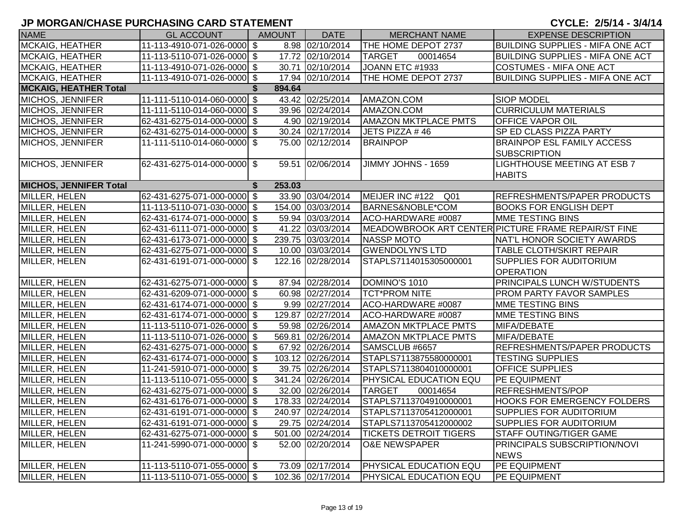| <b>NAME</b>                   | <b>GL ACCOUNT</b>           | AMOUNT       | <b>DATE</b>       | <b>MERCHANT NAME</b>          | <b>EXPENSE DESCRIPTION</b>                               |
|-------------------------------|-----------------------------|--------------|-------------------|-------------------------------|----------------------------------------------------------|
| MCKAIG, HEATHER               | 11-113-4910-071-026-0000 \$ |              | 8.98 02/10/2014   | THE HOME DEPOT 2737           | <b>BUILDING SUPPLIES - MIFA ONE ACT</b>                  |
| <b>MCKAIG, HEATHER</b>        | 11-113-5110-071-026-0000 \$ |              | 17.72 02/10/2014  | <b>TARGET</b><br>00014654     | <b>BUILDING SUPPLIES - MIFA ONE ACT</b>                  |
| <b>MCKAIG, HEATHER</b>        | 11-113-4910-071-026-0000 \$ |              | 30.71 02/10/2014  | JOANN ETC #1933               | <b>COSTUMES - MIFA ONE ACT</b>                           |
| <b>MCKAIG, HEATHER</b>        | 11-113-4910-071-026-0000 \$ |              | 17.94 02/10/2014  | THE HOME DEPOT 2737           | <b>BUILDING SUPPLIES - MIFA ONE ACT</b>                  |
| <b>MCKAIG, HEATHER Total</b>  |                             | 894.64       |                   |                               |                                                          |
| MICHOS, JENNIFER              | 11-111-5110-014-060-0000 \$ |              | 43.42 02/25/2014  | AMAZON.COM                    | <b>SIOP MODEL</b>                                        |
| <b>MICHOS, JENNIFER</b>       | 11-111-5110-014-060-0000 \$ |              | 39.96 02/24/2014  | AMAZON.COM                    | <b>CURRICULUM MATERIALS</b>                              |
| <b>MICHOS, JENNIFER</b>       | 62-431-6275-014-000-0000 \$ |              | 4.90 02/19/2014   | <b>AMAZON MKTPLACE PMTS</b>   | <b>OFFICE VAPOR OIL</b>                                  |
| MICHOS, JENNIFER              | 62-431-6275-014-000-0000 \$ |              | 30.24 02/17/2014  | JETS PIZZA #46                | SP ED CLASS PIZZA PARTY                                  |
| MICHOS, JENNIFER              | 11-111-5110-014-060-0000 \$ |              | 75.00 02/12/2014  | <b>BRAINPOP</b>               | <b>BRAINPOP ESL FAMILY ACCESS</b><br><b>SUBSCRIPTION</b> |
| <b>MICHOS, JENNIFER</b>       | 62-431-6275-014-000-0000 \$ |              | 59.51 02/06/2014  | JIMMY JOHNS - 1659            | <b>LIGHTHOUSE MEETING AT ESB 7</b><br><b>HABITS</b>      |
| <b>MICHOS, JENNIFER Total</b> |                             | 253.03<br>\$ |                   |                               |                                                          |
| <b>MILLER, HELEN</b>          | 62-431-6275-071-000-0000 \$ |              | 33.90 03/04/2014  | MEIJER INC #122 Q01           | REFRESHMENTS/PAPER PRODUCTS                              |
| MILLER, HELEN                 | 11-113-5110-071-030-0000 \$ |              | 154.00 03/03/2014 | BARNES&NOBLE*COM              | <b>BOOKS FOR ENGLISH DEPT</b>                            |
| MILLER, HELEN                 | 62-431-6174-071-000-0000 \$ |              | 59.94 03/03/2014  | ACO-HARDWARE #0087            | <b>MME TESTING BINS</b>                                  |
| MILLER, HELEN                 | 62-431-6111-071-000-0000 \$ |              | 41.22 03/03/2014  |                               | MEADOWBROOK ART CENTER PICTURE FRAME REPAIR/ST FINE      |
| MILLER, HELEN                 | 62-431-6173-071-000-0000 \$ |              | 239.75 03/03/2014 | <b>NASSP MOTO</b>             | NAT'L HONOR SOCIETY AWARDS                               |
| MILLER, HELEN                 | 62-431-6275-071-000-0000 \$ |              | 10.00 03/03/2014  | <b>GWENDOLYN'S LTD</b>        | <b>TABLE CLOTH/SKIRT REPAIR</b>                          |
| MILLER, HELEN                 | 62-431-6191-071-000-0000 \$ |              | 122.16 02/28/2014 | STAPLS7114015305000001        | SUPPLIES FOR AUDITORIUM<br><b>OPERATION</b>              |
| MILLER, HELEN                 | 62-431-6275-071-000-0000 \$ |              | 87.94 02/28/2014  | DOMINO'S 1010                 | PRINCIPALS LUNCH W/STUDENTS                              |
| MILLER, HELEN                 | 62-431-6209-071-000-0000 \$ |              | 60.98 02/27/2014  | <b>TCT*PROM NITE</b>          | <b>PROM PARTY FAVOR SAMPLES</b>                          |
| <b>MILLER, HELEN</b>          | 62-431-6174-071-000-0000 \$ |              | 9.99 02/27/2014   | ACO-HARDWARE #0087            | <b>MME TESTING BINS</b>                                  |
| <b>MILLER, HELEN</b>          | 62-431-6174-071-000-0000 \$ |              | 129.87 02/27/2014 | ACO-HARDWARE #0087            | MME TESTING BINS                                         |
| MILLER, HELEN                 | 11-113-5110-071-026-0000 \$ |              | 59.98 02/26/2014  | <b>AMAZON MKTPLACE PMTS</b>   | MIFA/DEBATE                                              |
| MILLER, HELEN                 | 11-113-5110-071-026-0000 \$ |              | 569.81 02/26/2014 | <b>AMAZON MKTPLACE PMTS</b>   | MIFA/DEBATE                                              |
| MILLER, HELEN                 | 62-431-6275-071-000-0000 \$ |              | 67.92 02/26/2014  | SAMSCLUB #6657                | REFRESHMENTS/PAPER PRODUCTS                              |
| MILLER, HELEN                 | 62-431-6174-071-000-0000 \$ |              | 103.12 02/26/2014 | STAPLS7113875580000001        | <b>TESTING SUPPLIES</b>                                  |
| MILLER, HELEN                 | 11-241-5910-071-000-0000 \$ |              | 39.75 02/26/2014  | STAPLS7113804010000001        | <b>OFFICE SUPPLIES</b>                                   |
| MILLER, HELEN                 | 11-113-5110-071-055-0000 \$ |              | 341.24 02/26/2014 | <b>PHYSICAL EDUCATION EQU</b> | PE EQUIPMENT                                             |
| MILLER, HELEN                 | 62-431-6275-071-000-0000 \$ |              | 32.00 02/26/2014  | <b>TARGET</b><br>00014654     | REFRESHMENTS/POP                                         |
| <b>MILLER, HELEN</b>          | 62-431-6176-071-000-0000 \$ |              | 178.33 02/24/2014 | STAPLS7113704910000001        | <b>HOOKS FOR EMERGENCY FOLDERS</b>                       |
| MILLER, HELEN                 | 62-431-6191-071-000-0000 \$ |              | 240.97 02/24/2014 | STAPLS7113705412000001        | SUPPLIES FOR AUDITORIUM                                  |
| MILLER, HELEN                 | 62-431-6191-071-000-0000 \$ |              | 29.75 02/24/2014  | STAPLS7113705412000002        | SUPPLIES FOR AUDITORIUM                                  |
| MILLER, HELEN                 | 62-431-6275-071-000-0000 \$ |              | 501.00 02/24/2014 | <b>TICKETS DETROIT TIGERS</b> | STAFF OUTING/TIGER GAME                                  |
| MILLER, HELEN                 | 11-241-5990-071-000-0000 \$ |              | 52.00 02/20/2014  | <b>O&amp;E NEWSPAPER</b>      | PRINCIPALS SUBSCRIPTION/NOVI<br><b>NEWS</b>              |
| MILLER, HELEN                 | 11-113-5110-071-055-0000 \$ |              | 73.09 02/17/2014  | <b>PHYSICAL EDUCATION EQU</b> | PE EQUIPMENT                                             |
| <b>MILLER, HELEN</b>          | 11-113-5110-071-055-0000 \$ |              | 102.36 02/17/2014 | <b>PHYSICAL EDUCATION EQU</b> | PE EQUIPMENT                                             |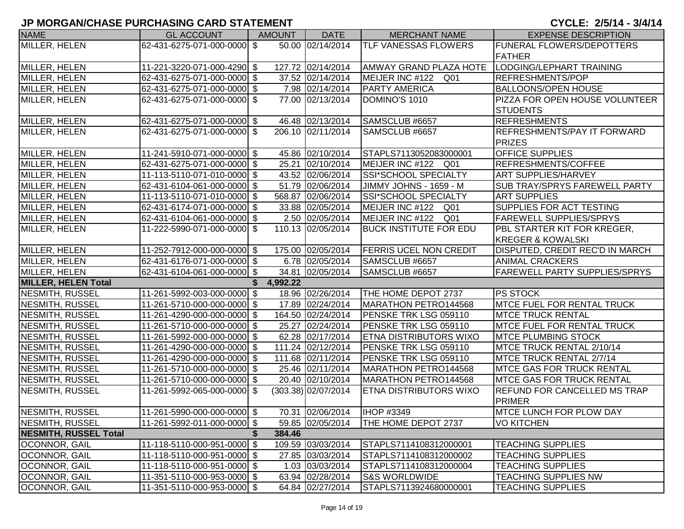| <b>NAME</b>                  | <b>GL ACCOUNT</b>             | <b>AMOUNT</b> | <b>DATE</b>           | <b>MERCHANT NAME</b>          | <b>EXPENSE DESCRIPTION</b>           |
|------------------------------|-------------------------------|---------------|-----------------------|-------------------------------|--------------------------------------|
| MILLER, HELEN                | 62-431-6275-071-000-0000 \$   |               | 50.00 02/14/2014      | <b>TLF VANESSAS FLOWERS</b>   | <b>FUNERAL FLOWERS/DEPOTTERS</b>     |
|                              |                               |               |                       |                               | <b>FATHER</b>                        |
| MILLER, HELEN                | 11-221-3220-071-000-4290 \$   |               | 127.72 02/14/2014     | AMWAY GRAND PLAZA HOTE        | LODGING/LEPHART TRAINING             |
| MILLER, HELEN                | 62-431-6275-071-000-0000 \$   |               | 37.52 02/14/2014      | MEIJER INC #122 Q01           | <b>REFRESHMENTS/POP</b>              |
| MILLER, HELEN                | 62-431-6275-071-000-0000 \$   |               | 7.98 02/14/2014       | <b>PARTY AMERICA</b>          | <b>BALLOONS/OPEN HOUSE</b>           |
| MILLER, HELEN                | 62-431-6275-071-000-0000 \$   |               | 77.00 02/13/2014      | DOMINO'S 1010                 | PIZZA FOR OPEN HOUSE VOLUNTEER       |
|                              |                               |               |                       |                               | <b>STUDENTS</b>                      |
| MILLER, HELEN                | 62-431-6275-071-000-0000 \$   |               | 46.48 02/13/2014      | SAMSCLUB #6657                | <b>REFRESHMENTS</b>                  |
| <b>MILLER, HELEN</b>         | 62-431-6275-071-000-0000 \$   |               | 206.10 02/11/2014     | SAMSCLUB #6657                | REFRESHMENTS/PAY IT FORWARD          |
|                              |                               |               |                       |                               | <b>PRIZES</b>                        |
| MILLER, HELEN                | 11-241-5910-071-000-0000 \$   |               | 45.86 02/10/2014      | STAPLS7113052083000001        | <b>OFFICE SUPPLIES</b>               |
| MILLER, HELEN                | 62-431-6275-071-000-0000 \$   |               | 25.21 02/10/2014      | MEIJER INC #122 Q01           | REFRESHMENTS/COFFEE                  |
| MILLER, HELEN                | 11-113-5110-071-010-0000 \$   |               | 43.52 02/06/2014      | SSI*SCHOOL SPECIALTY          | <b>ART SUPPLIES/HARVEY</b>           |
| MILLER, HELEN                | 62-431-6104-061-000-0000 \$   |               | 51.79 02/06/2014      | JIMMY JOHNS - 1659 - M        | <b>SUB TRAY/SPRYS FAREWELL PARTY</b> |
| MILLER, HELEN                | 11-113-5110-071-010-0000 \$   |               | 568.87 02/06/2014     | <b>SSI*SCHOOL SPECIALTY</b>   | <b>ART SUPPLIES</b>                  |
| MILLER, HELEN                | 62-431-6174-071-000-0000 \$   |               | 33.88 02/05/2014      | MEIJER INC #122 Q01           | SUPPLIES FOR ACT TESTING             |
| MILLER, HELEN                | 62-431-6104-061-000-0000 \$   |               | 2.50 02/05/2014       | MEIJER INC #122 Q01           | <b>FAREWELL SUPPLIES/SPRYS</b>       |
| MILLER, HELEN                | 11-222-5990-071-000-0000 \$   |               | 110.13 02/05/2014     | <b>BUCK INSTITUTE FOR EDU</b> | PBL STARTER KIT FOR KREGER,          |
|                              |                               |               |                       |                               | <b>KREGER &amp; KOWALSKI</b>         |
| MILLER, HELEN                | 11-252-7912-000-000-0000 \$   |               | 175.00 02/05/2014     | <b>FERRIS UCEL NON CREDIT</b> | DISPUTED, CREDIT REC'D IN MARCH      |
| MILLER, HELEN                | 62-431-6176-071-000-0000 \$   |               | 6.78 02/05/2014       | SAMSCLUB #6657                | <b>ANIMAL CRACKERS</b>               |
| MILLER, HELEN                | 62-431-6104-061-000-0000 \$   |               | 34.81 02/05/2014      | SAMSCLUB #6657                | <b>FAREWELL PARTY SUPPLIES/SPRYS</b> |
| <b>MILLER, HELEN Total</b>   |                               | 4,992.22      |                       |                               |                                      |
| NESMITH, RUSSEL              | 11-261-5992-003-000-0000 \$   |               | 18.96 02/26/2014      | THE HOME DEPOT 2737           | <b>PS STOCK</b>                      |
| NESMITH, RUSSEL              | 11-261-5710-000-000-0000 \$   |               | 17.89 02/24/2014      | MARATHON PETRO144568          | <b>MTCE FUEL FOR RENTAL TRUCK</b>    |
| NESMITH, RUSSEL              | 11-261-4290-000-000-0000 \$   |               | 164.50 02/24/2014     | PENSKE TRK LSG 059110         | <b>IMTCE TRUCK RENTAL</b>            |
| NESMITH, RUSSEL              | 11-261-5710-000-000-0000 \$   |               | 25.27 02/24/2014      | PENSKE TRK LSG 059110         | <b>MTCE FUEL FOR RENTAL TRUCK</b>    |
| NESMITH, RUSSEL              | 11-261-5992-000-000-0000 \$   |               | 62.28 02/17/2014      | <b>ETNA DISTRIBUTORS WIXO</b> | <b>MTCE PLUMBING STOCK</b>           |
| NESMITH, RUSSEL              | 11-261-4290-000-000-0000 \$   |               | 111.24 02/12/2014     | PENSKE TRK LSG 059110         | MTCE TRUCK RENTAL 2/10/14            |
| NESMITH, RUSSEL              | 11-261-4290-000-000-0000 \$   |               | 111.68 02/11/2014     | PENSKE TRK LSG 059110         | MTCE TRUCK RENTAL 2/7/14             |
| NESMITH, RUSSEL              | 11-261-5710-000-000-0000 \$   |               | 25.46 02/11/2014      | MARATHON PETRO144568          | <b>MTCE GAS FOR TRUCK RENTAL</b>     |
| NESMITH, RUSSEL              | 11-261-5710-000-000-0000 \$   |               | 20.40 02/10/2014      | MARATHON PETRO144568          | <b>MTCE GAS FOR TRUCK RENTAL</b>     |
| <b>NESMITH, RUSSEL</b>       | 11-261-5992-065-000-0000 \$   |               | $(303.38)$ 02/07/2014 | ETNA DISTRIBUTORS WIXO        | <b>REFUND FOR CANCELLED MS TRAP</b>  |
|                              |                               |               |                       |                               | <b>PRIMER</b>                        |
| <b>NESMITH, RUSSEL</b>       | $11-261-5990-000-000-0000$ \$ |               | 70.31 02/06/2014      | <b>IHOP #3349</b>             | <b>IMTCE LUNCH FOR PLOW DAY</b>      |
| NESMITH, RUSSEL              | 11-261-5992-011-000-0000 \$   |               | 59.85 02/05/2014      | THE HOME DEPOT 2737           | <b>VO KITCHEN</b>                    |
| <b>NESMITH, RUSSEL Total</b> |                               | 384.46        |                       |                               |                                      |
| OCONNOR, GAIL                | 11-118-5110-000-951-0000 \$   |               | 109.59 03/03/2014     | STAPLS7114108312000001        | <b>TEACHING SUPPLIES</b>             |
| <b>OCONNOR, GAIL</b>         | 11-118-5110-000-951-0000 \$   |               | 27.85 03/03/2014      | STAPLS7114108312000002        | <b>TEACHING SUPPLIES</b>             |
| OCONNOR, GAIL                | 11-118-5110-000-951-0000 \$   |               | 1.03 03/03/2014       | STAPLS7114108312000004        | <b>TEACHING SUPPLIES</b>             |
| <b>OCONNOR, GAIL</b>         | 11-351-5110-000-953-0000 \$   |               | 63.94 02/28/2014      | <b>S&amp;S WORLDWIDE</b>      | TEACHING SUPPLIES NW                 |
| OCONNOR, GAIL                | 11-351-5110-000-953-0000 \$   |               | 64.84 02/27/2014      | STAPLS7113924680000001        | <b>TEACHING SUPPLIES</b>             |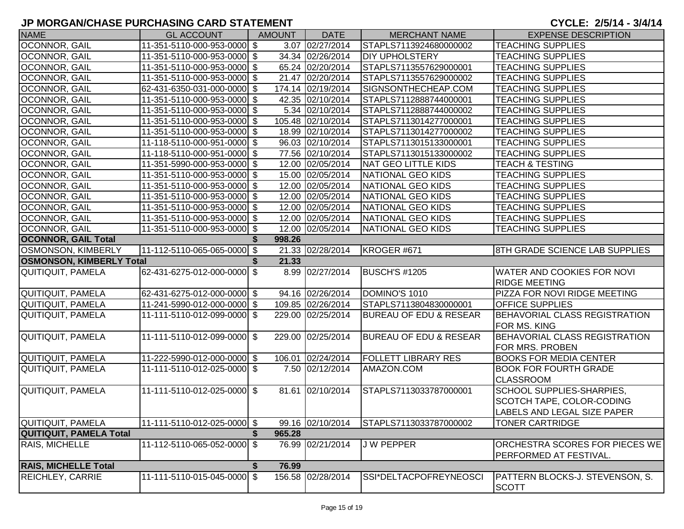| <b>NAME</b>                     | <b>GL ACCOUNT</b>           | <b>AMOUNT</b> | <b>DATE</b>       | <b>MERCHANT NAME</b>              | <b>EXPENSE DESCRIPTION</b>           |
|---------------------------------|-----------------------------|---------------|-------------------|-----------------------------------|--------------------------------------|
| OCONNOR, GAIL                   | 11-351-5110-000-953-0000 \$ |               | 3.07 02/27/2014   | STAPLS7113924680000002            | <b>TEACHING SUPPLIES</b>             |
| OCONNOR, GAIL                   | 11-351-5110-000-953-0000 \$ |               | 34.34 02/26/2014  | <b>DIY UPHOLSTERY</b>             | <b>TEACHING SUPPLIES</b>             |
| OCONNOR, GAIL                   | 11-351-5110-000-953-0000 \$ |               | 65.24 02/20/2014  | STAPLS7113557629000001            | <b>TEACHING SUPPLIES</b>             |
| OCONNOR, GAIL                   | 11-351-5110-000-953-0000 \$ |               | 21.47 02/20/2014  | STAPLS7113557629000002            | <b>TEACHING SUPPLIES</b>             |
| OCONNOR, GAIL                   | 62-431-6350-031-000-0000 \$ |               | 174.14 02/19/2014 | SIGNSONTHECHEAP.COM               | <b>TEACHING SUPPLIES</b>             |
| OCONNOR, GAIL                   | 11-351-5110-000-953-0000 \$ |               | 42.35 02/10/2014  | STAPLS7112888744000001            | <b>TEACHING SUPPLIES</b>             |
| OCONNOR, GAIL                   | 11-351-5110-000-953-0000 \$ |               | 5.34 02/10/2014   | STAPLS7112888744000002            | <b>TEACHING SUPPLIES</b>             |
| OCONNOR, GAIL                   | 11-351-5110-000-953-0000 \$ |               | 105.48 02/10/2014 | STAPLS7113014277000001            | <b>TEACHING SUPPLIES</b>             |
| <b>OCONNOR, GAIL</b>            | 11-351-5110-000-953-0000 \$ |               | 18.99 02/10/2014  | STAPLS7113014277000002            | <b>TEACHING SUPPLIES</b>             |
| OCONNOR, GAIL                   | 11-118-5110-000-951-0000 \$ |               | 96.03 02/10/2014  | STAPLS7113015133000001            | <b>TEACHING SUPPLIES</b>             |
| OCONNOR, GAIL                   | 11-118-5110-000-951-0000 \$ |               | 77.56 02/10/2014  | STAPLS7113015133000002            | <b>TEACHING SUPPLIES</b>             |
| OCONNOR, GAIL                   | 11-351-5990-000-953-0000 \$ |               | 12.00 02/05/2014  | <b>NAT GEO LITTLE KIDS</b>        | <b>TEACH &amp; TESTING</b>           |
| OCONNOR, GAIL                   | 11-351-5110-000-953-0000 \$ |               | 15.00 02/05/2014  | <b>NATIONAL GEO KIDS</b>          | <b>TEACHING SUPPLIES</b>             |
| OCONNOR, GAIL                   | 11-351-5110-000-953-0000 \$ |               | 12.00 02/05/2014  | NATIONAL GEO KIDS                 | <b>TEACHING SUPPLIES</b>             |
| OCONNOR, GAIL                   | 11-351-5110-000-953-0000 \$ |               | 12.00 02/05/2014  | <b>NATIONAL GEO KIDS</b>          | <b>TEACHING SUPPLIES</b>             |
| OCONNOR, GAIL                   | 11-351-5110-000-953-0000 \$ |               | 12.00 02/05/2014  | <b>NATIONAL GEO KIDS</b>          | <b>TEACHING SUPPLIES</b>             |
| OCONNOR, GAIL                   | 11-351-5110-000-953-0000 \$ |               | 12.00 02/05/2014  | <b>NATIONAL GEO KIDS</b>          | <b>TEACHING SUPPLIES</b>             |
| OCONNOR, GAIL                   | 11-351-5110-000-953-0000 \$ |               | 12.00 02/05/2014  | <b>NATIONAL GEO KIDS</b>          | <b>TEACHING SUPPLIES</b>             |
| <b>OCONNOR, GAIL Total</b>      |                             | 998.26        |                   |                                   |                                      |
| <b>OSMONSON, KIMBERLY</b>       | 11-112-5110-065-065-0000 \$ |               | 21.33 02/28/2014  | KROGER #671                       | 8TH GRADE SCIENCE LAB SUPPLIES       |
| <b>OSMONSON, KIMBERLY Total</b> |                             | 21.33<br>S.   |                   |                                   |                                      |
| QUITIQUIT, PAMELA               | 62-431-6275-012-000-0000 \$ |               | 8.99 02/27/2014   | <b>BUSCH'S #1205</b>              | <b>WATER AND COOKIES FOR NOVI</b>    |
|                                 |                             |               |                   |                                   | <b>RIDGE MEETING</b>                 |
| QUITIQUIT, PAMELA               | 62-431-6275-012-000-0000 \$ |               | 94.16 02/26/2014  | DOMINO'S 1010                     | PIZZA FOR NOVI RIDGE MEETING         |
| QUITIQUIT, PAMELA               | 11-241-5990-012-000-0000 \$ |               | 109.85 02/26/2014 | STAPLS7113804830000001            | <b>OFFICE SUPPLIES</b>               |
| QUITIQUIT, PAMELA               | 11-111-5110-012-099-0000 \$ |               | 229.00 02/25/2014 | <b>BUREAU OF EDU &amp; RESEAR</b> | <b>BEHAVORIAL CLASS REGISTRATION</b> |
|                                 |                             |               |                   |                                   | <b>FOR MS. KING</b>                  |
| QUITIQUIT, PAMELA               | 11-111-5110-012-099-0000 \$ |               | 229.00 02/25/2014 | <b>BUREAU OF EDU &amp; RESEAR</b> | BEHAVORIAL CLASS REGISTRATION        |
|                                 |                             |               |                   |                                   | <b>FOR MRS. PROBEN</b>               |
| QUITIQUIT, PAMELA               | 11-222-5990-012-000-0000 \$ |               | 106.01 02/24/2014 | <b>FOLLETT LIBRARY RES</b>        | <b>BOOKS FOR MEDIA CENTER</b>        |
| QUITIQUIT, PAMELA               | 11-111-5110-012-025-0000 \$ |               | 7.50 02/12/2014   | AMAZON.COM                        | <b>BOOK FOR FOURTH GRADE</b>         |
|                                 |                             |               |                   |                                   | <b>CLASSROOM</b>                     |
| <b>QUITIQUIT, PAMELA</b>        | 11-111-5110-012-025-0000 \$ |               | 81.61 02/10/2014  | STAPLS7113033787000001            | SCHOOL SUPPLIES-SHARPIES,            |
|                                 |                             |               |                   |                                   | SCOTCH TAPE, COLOR-CODING            |
|                                 |                             |               |                   |                                   | <b>LABELS AND LEGAL SIZE PAPER</b>   |
| QUITIQUIT, PAMELA               | 11-111-5110-012-025-0000 \$ |               | 99.16 02/10/2014  | STAPLS7113033787000002            | <b>TONER CARTRIDGE</b>               |
| <b>QUITIQUIT, PAMELA Total</b>  |                             | 965.28        |                   |                                   |                                      |
| <b>RAIS, MICHELLE</b>           | 11-112-5110-065-052-0000 \$ |               | 76.99 02/21/2014  | <b>JW PEPPER</b>                  | ORCHESTRA SCORES FOR PIECES WE       |
|                                 |                             |               |                   |                                   | PERFORMED AT FESTIVAL.               |
| <b>RAIS, MICHELLE Total</b>     |                             | 76.99<br>S    |                   |                                   |                                      |
| REICHLEY, CARRIE                | 11-111-5110-015-045-0000 \$ |               | 156.58 02/28/2014 | SSI*DELTACPOFREYNEOSCI            | PATTERN BLOCKS-J. STEVENSON, S.      |
|                                 |                             |               |                   |                                   | <b>SCOTT</b>                         |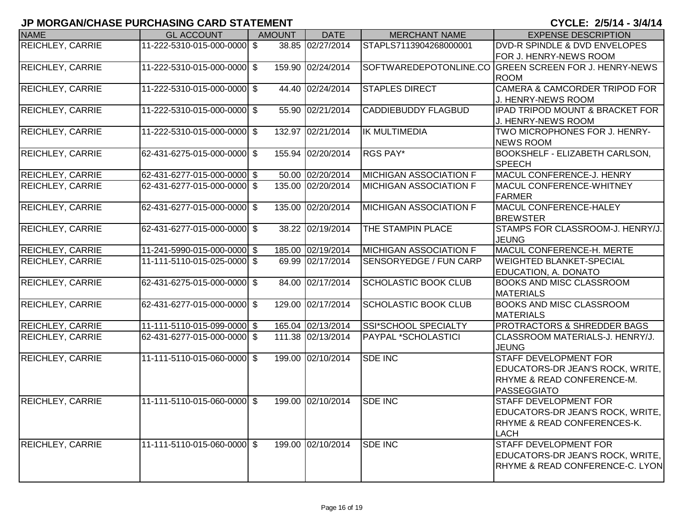| <b>NAME</b>             | <b>GL ACCOUNT</b>           | <b>AMOUNT</b> | <b>DATE</b>       | <b>MERCHANT NAME</b>          | <b>EXPENSE DESCRIPTION</b>                                                                                               |
|-------------------------|-----------------------------|---------------|-------------------|-------------------------------|--------------------------------------------------------------------------------------------------------------------------|
| REICHLEY, CARRIE        | 11-222-5310-015-000-0000 \$ |               | 38.85 02/27/2014  | STAPLS7113904268000001        | <b>DVD-R SPINDLE &amp; DVD ENVELOPES</b><br><b>FOR J. HENRY-NEWS ROOM</b>                                                |
| <b>REICHLEY, CARRIE</b> | 11-222-5310-015-000-0000 \$ |               | 159.90 02/24/2014 | SOFTWAREDEPOTONLINE.CO        | <b>GREEN SCREEN FOR J. HENRY-NEWS</b><br><b>ROOM</b>                                                                     |
| <b>REICHLEY, CARRIE</b> | 11-222-5310-015-000-0000 \$ |               | 44.40 02/24/2014  | <b>STAPLES DIRECT</b>         | <b>CAMERA &amp; CAMCORDER TRIPOD FOR</b><br>J. HENRY-NEWS ROOM                                                           |
| <b>REICHLEY, CARRIE</b> | 11-222-5310-015-000-0000 \$ |               | 55.90 02/21/2014  | <b>CADDIEBUDDY FLAGBUD</b>    | IPAD TRIPOD MOUNT & BRACKET FOR<br>J. HENRY-NEWS ROOM                                                                    |
| <b>REICHLEY, CARRIE</b> | 11-222-5310-015-000-0000 \$ |               | 132.97 02/21/2014 | <b>IK MULTIMEDIA</b>          | TWO MICROPHONES FOR J. HENRY-<br><b>NEWS ROOM</b>                                                                        |
| <b>REICHLEY, CARRIE</b> | 62-431-6275-015-000-0000 \$ |               | 155.94 02/20/2014 | RGS PAY*                      | <b>BOOKSHELF - ELIZABETH CARLSON,</b><br><b>SPEECH</b>                                                                   |
| <b>REICHLEY, CARRIE</b> | 62-431-6277-015-000-0000 \$ |               | 50.00 02/20/2014  | <b>MICHIGAN ASSOCIATION F</b> | MACUL CONFERENCE-J. HENRY                                                                                                |
| <b>REICHLEY, CARRIE</b> | 62-431-6277-015-000-0000 \$ |               | 135.00 02/20/2014 | <b>MICHIGAN ASSOCIATION F</b> | MACUL CONFERENCE-WHITNEY<br>FARMER                                                                                       |
| <b>REICHLEY, CARRIE</b> | 62-431-6277-015-000-0000 \$ |               | 135.00 02/20/2014 | <b>MICHIGAN ASSOCIATION F</b> | MACUL CONFERENCE-HALEY<br><b>BREWSTER</b>                                                                                |
| <b>REICHLEY, CARRIE</b> | 62-431-6277-015-000-0000 \$ |               | 38.22 02/19/2014  | THE STAMPIN PLACE             | STAMPS FOR CLASSROOM-J. HENRY/J.<br><b>JEUNG</b>                                                                         |
| <b>REICHLEY, CARRIE</b> | 11-241-5990-015-000-0000 \$ |               | 185.00 02/19/2014 | <b>MICHIGAN ASSOCIATION F</b> | MACUL CONFERENCE-H. MERTE                                                                                                |
| <b>REICHLEY, CARRIE</b> | 11-111-5110-015-025-0000 \$ |               | 69.99 02/17/2014  | SENSORYEDGE / FUN CARP        | <b>WEIGHTED BLANKET-SPECIAL</b><br><b>EDUCATION, A. DONATO</b>                                                           |
| <b>REICHLEY, CARRIE</b> | 62-431-6275-015-000-0000 \$ |               | 84.00 02/17/2014  | <b>SCHOLASTIC BOOK CLUB</b>   | <b>BOOKS AND MISC CLASSROOM</b><br><b>MATERIALS</b>                                                                      |
| <b>REICHLEY, CARRIE</b> | 62-431-6277-015-000-0000 \$ |               | 129.00 02/17/2014 | <b>SCHOLASTIC BOOK CLUB</b>   | <b>BOOKS AND MISC CLASSROOM</b><br><b>MATERIALS</b>                                                                      |
| <b>REICHLEY, CARRIE</b> | 11-111-5110-015-099-0000 \$ |               | 165.04 02/13/2014 | SSI*SCHOOL SPECIALTY          | <b>PROTRACTORS &amp; SHREDDER BAGS</b>                                                                                   |
| <b>REICHLEY, CARRIE</b> | 62-431-6277-015-000-0000 \$ |               | 111.38 02/13/2014 | PAYPAL *SCHOLASTICI           | CLASSROOM MATERIALS-J. HENRY/J.<br><b>JEUNG</b>                                                                          |
| <b>REICHLEY, CARRIE</b> | 11-111-5110-015-060-0000 \$ |               | 199.00 02/10/2014 | <b>SDE INC</b>                | <b>STAFF DEVELOPMENT FOR</b><br>EDUCATORS-DR JEAN'S ROCK, WRITE,<br><b>RHYME &amp; READ CONFERENCE-M.</b><br>PASSEGGIATO |
| <b>REICHLEY, CARRIE</b> | 11-111-5110-015-060-0000 \$ |               | 199.00 02/10/2014 | SDE INC                       | STAFF DEVELOPMENT FOR<br>EDUCATORS-DR JEAN'S ROCK, WRITE,<br><b>RHYME &amp; READ CONFERENCES-K.</b><br>LACH              |
| <b>REICHLEY, CARRIE</b> | 11-111-5110-015-060-0000 \$ |               | 199.00 02/10/2014 | <b>SDE INC</b>                | <b>STAFF DEVELOPMENT FOR</b><br>EDUCATORS-DR JEAN'S ROCK, WRITE,<br>RHYME & READ CONFERENCE-C. LYON                      |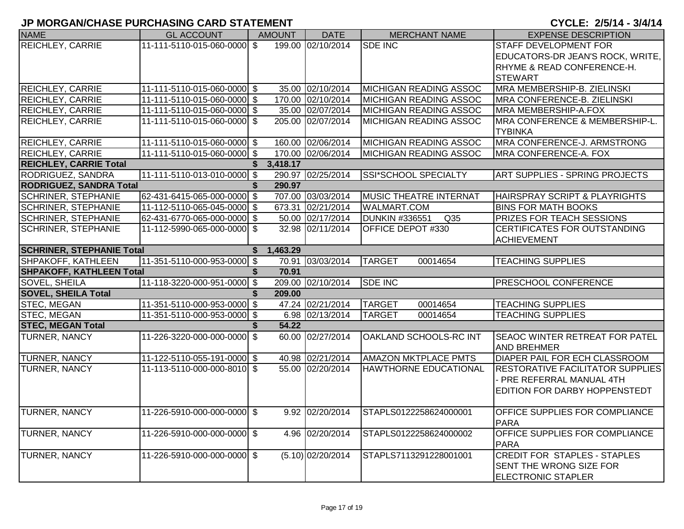| <b>NAME</b>                      | <b>GL ACCOUNT</b>           | <b>AMOUNT</b>  | <b>DATE</b>         | <b>MERCHANT NAME</b>                     | <b>EXPENSE DESCRIPTION</b>                               |
|----------------------------------|-----------------------------|----------------|---------------------|------------------------------------------|----------------------------------------------------------|
| <b>REICHLEY, CARRIE</b>          | 11-111-5110-015-060-0000 \$ |                | 199.00 02/10/2014   | <b>SDE INC</b>                           | STAFF DEVELOPMENT FOR                                    |
|                                  |                             |                |                     |                                          | EDUCATORS-DR JEAN'S ROCK, WRITE,                         |
|                                  |                             |                |                     |                                          | RHYME & READ CONFERENCE-H.                               |
|                                  |                             |                |                     |                                          | <b>STEWART</b>                                           |
| <b>REICHLEY, CARRIE</b>          | 11-111-5110-015-060-0000 \$ |                | 35.00 02/10/2014    | <b>MICHIGAN READING ASSOC</b>            | MRA MEMBERSHIP-B. ZIELINSKI                              |
| <b>REICHLEY, CARRIE</b>          | 11-111-5110-015-060-0000 \$ |                | 170.00 02/10/2014   | <b>MICHIGAN READING ASSOC</b>            | MRA CONFERENCE-B. ZIELINSKI                              |
| <b>REICHLEY, CARRIE</b>          | 11-111-5110-015-060-0000 \$ |                | 35.00 02/07/2014    | <b>MICHIGAN READING ASSOC</b>            | MRA MEMBERSHIP-A.FOX                                     |
| <b>REICHLEY, CARRIE</b>          | 11-111-5110-015-060-0000 \$ |                | 205.00 02/07/2014   | <b>MICHIGAN READING ASSOC</b>            | MRA CONFERENCE & MEMBERSHIP-L.<br><b>TYBINKA</b>         |
| <b>REICHLEY, CARRIE</b>          | 11-111-5110-015-060-0000 \$ |                | 160.00 02/06/2014   | <b>MICHIGAN READING ASSOC</b>            | MRA CONFERENCE-J. ARMSTRONG                              |
| <b>REICHLEY, CARRIE</b>          | 11-111-5110-015-060-0000 \$ |                | 170.00 02/06/2014   | <b>MICHIGAN READING ASSOC</b>            | MRA CONFERENCE-A. FOX                                    |
| <b>REICHLEY, CARRIE Total</b>    |                             | 3,418.17<br>S. |                     |                                          |                                                          |
| RODRIGUEZ, SANDRA                | 11-111-5110-013-010-0000 \$ |                | 290.97 02/25/2014   | <b>SSI*SCHOOL SPECIALTY</b>              | <b>ART SUPPLIES - SPRING PROJECTS</b>                    |
| <b>RODRIGUEZ, SANDRA Total</b>   |                             | 290.97         |                     |                                          |                                                          |
| <b>SCHRINER, STEPHANIE</b>       | 62-431-6415-065-000-0000 \$ |                | 707.00 03/03/2014   | <b>MUSIC THEATRE INTERNAT</b>            | HAIRSPRAY SCRIPT & PLAYRIGHTS                            |
| <b>SCHRINER, STEPHANIE</b>       | 11-112-5110-065-045-0000 \$ |                | 673.31 02/21/2014   | <b>WALMART.COM</b>                       | <b>BINS FOR MATH BOOKS</b>                               |
| <b>SCHRINER, STEPHANIE</b>       | 62-431-6770-065-000-0000 \$ |                | 50.00 02/17/2014    | Q <sub>35</sub><br><b>DUNKIN #336551</b> | PRIZES FOR TEACH SESSIONS                                |
| <b>SCHRINER, STEPHANIE</b>       | 11-112-5990-065-000-0000 \$ |                | 32.98 02/11/2014    | OFFICE DEPOT #330                        | CERTIFICATES FOR OUTSTANDING                             |
|                                  |                             |                |                     |                                          | <b>ACHIEVEMENT</b>                                       |
| <b>SCHRINER, STEPHANIE Total</b> |                             | 1,463.29<br>S. |                     |                                          |                                                          |
| SHPAKOFF, KATHLEEN               | 11-351-5110-000-953-0000 \$ |                | 70.91 03/03/2014    | <b>TARGET</b><br>00014654                | <b>TEACHING SUPPLIES</b>                                 |
| <b>SHPAKOFF, KATHLEEN Total</b>  |                             | 70.91          |                     |                                          |                                                          |
| <b>SOVEL, SHEILA</b>             | 11-118-3220-000-951-0000 \$ |                | 209.00 02/10/2014   | <b>SDE INC</b>                           | PRESCHOOL CONFERENCE                                     |
| <b>SOVEL, SHEILA Total</b>       |                             | 209.00         |                     |                                          |                                                          |
| STEC, MEGAN                      | 11-351-5110-000-953-0000 \$ |                | 47.24 02/21/2014    | <b>TARGET</b><br>00014654                | <b>TEACHING SUPPLIES</b>                                 |
| <b>STEC, MEGAN</b>               | 11-351-5110-000-953-0000 \$ |                | 6.98 02/13/2014     | <b>TARGET</b><br>00014654                | <b>TEACHING SUPPLIES</b>                                 |
| <b>STEC, MEGAN Total</b>         |                             | 54.22          |                     |                                          |                                                          |
| <b>TURNER, NANCY</b>             | 11-226-3220-000-000-0000 \$ |                | 60.00 02/27/2014    | OAKLAND SCHOOLS-RC INT                   | SEAOC WINTER RETREAT FOR PATEL<br><b>AND BREHMER</b>     |
| <b>TURNER, NANCY</b>             | 11-122-5110-055-191-0000 \$ |                | 40.98 02/21/2014    | <b>AMAZON MKTPLACE PMTS</b>              | DIAPER PAIL FOR ECH CLASSROOM                            |
| <b>TURNER, NANCY</b>             | 11-113-5110-000-000-8010 \$ |                | 55.00 02/20/2014    | <b>HAWTHORNE EDUCATIONAL</b>             | <b>RESTORATIVE FACILITATOR SUPPLIES</b>                  |
|                                  |                             |                |                     |                                          | PRE REFERRAL MANUAL 4TH<br>EDITION FOR DARBY HOPPENSTEDT |
|                                  |                             |                |                     |                                          |                                                          |
| <b>TURNER, NANCY</b>             | 11-226-5910-000-000-0000 \$ |                | 9.92 02/20/2014     | STAPLS0122258624000001                   | <b>OFFICE SUPPLIES FOR COMPLIANCE</b>                    |
|                                  |                             |                |                     |                                          | <b>PARA</b>                                              |
| <b>TURNER, NANCY</b>             | 11-226-5910-000-000-0000 \$ |                | 4.96 02/20/2014     | STAPLS0122258624000002                   | OFFICE SUPPLIES FOR COMPLIANCE<br><b>PARA</b>            |
| <b>TURNER, NANCY</b>             | 11-226-5910-000-000-0000 \$ |                | $(5.10)$ 02/20/2014 | STAPLS7113291228001001                   | <b>CREDIT FOR STAPLES - STAPLES</b>                      |
|                                  |                             |                |                     |                                          | SENT THE WRONG SIZE FOR                                  |
|                                  |                             |                |                     |                                          | <b>ELECTRONIC STAPLER</b>                                |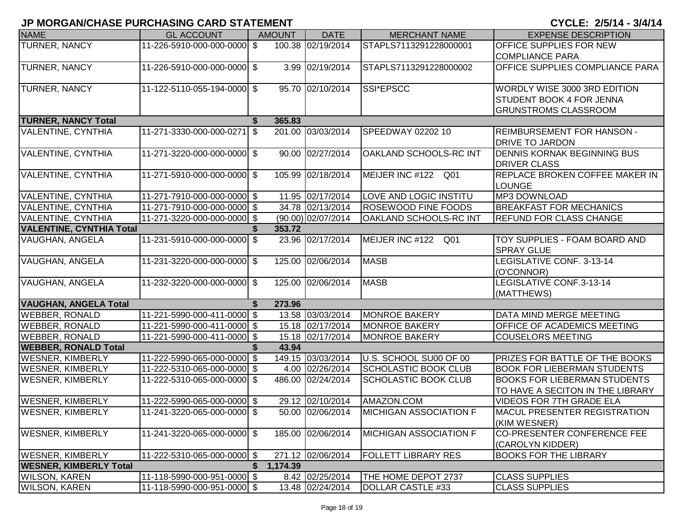|                                 |                             |                |                    |                               | <u>VIVLLI AVIT VITIT</u>              |
|---------------------------------|-----------------------------|----------------|--------------------|-------------------------------|---------------------------------------|
| <b>NAME</b>                     | <b>GL ACCOUNT</b>           | <b>AMOUNT</b>  | <b>DATE</b>        | <b>MERCHANT NAME</b>          | <b>EXPENSE DESCRIPTION</b>            |
| <b>TURNER, NANCY</b>            | 11-226-5910-000-000-0000 \$ |                | 100.38 02/19/2014  | STAPLS7113291228000001        | <b>OFFICE SUPPLIES FOR NEW</b>        |
|                                 |                             |                |                    |                               | <b>COMPLIANCE PARA</b>                |
| TURNER, NANCY                   | 11-226-5910-000-000-0000 \$ |                | 3.99 02/19/2014    | STAPLS7113291228000002        | OFFICE SUPPLIES COMPLIANCE PARA       |
|                                 |                             |                |                    |                               |                                       |
| TURNER, NANCY                   | 11-122-5110-055-194-0000 \$ |                | 95.70 02/10/2014   | SSI*EPSCC                     | WORDLY WISE 3000 3RD EDITION          |
|                                 |                             |                |                    |                               | <b>STUDENT BOOK 4 FOR JENNA</b>       |
|                                 |                             |                |                    |                               | <b>GRUNSTROMS CLASSROOM</b>           |
| <b>TURNER, NANCY Total</b>      |                             | 365.83<br>S    |                    |                               |                                       |
| <b>VALENTINE, CYNTHIA</b>       | 11-271-3330-000-000-0271    | l \$           | 201.00 03/03/2014  | SPEEDWAY 02202 10             | <b>REIMBURSEMENT FOR HANSON -</b>     |
|                                 |                             |                |                    |                               | <b>DRIVE TO JARDON</b>                |
| <b>VALENTINE, CYNTHIA</b>       | 11-271-3220-000-000-0000 \$ |                | 90.00 02/27/2014   | OAKLAND SCHOOLS-RC INT        | <b>DENNIS KORNAK BEGINNING BUS</b>    |
|                                 |                             |                |                    |                               | <b>DRIVER CLASS</b>                   |
| <b>VALENTINE, CYNTHIA</b>       | 11-271-5910-000-000-0000 \$ |                | 105.99 02/18/2014  | MEIJER INC #122 Q01           | REPLACE BROKEN COFFEE MAKER IN        |
|                                 |                             |                |                    |                               | <b>LOUNGE</b>                         |
| <b>VALENTINE, CYNTHIA</b>       | 11-271-7910-000-000-0000 \$ |                | 11.95 02/17/2014   | LOVE AND LOGIC INSTITU        | <b>MP3 DOWNLOAD</b>                   |
| <b>VALENTINE, CYNTHIA</b>       | 11-271-7910-000-000-0000 \$ |                | 34.78 02/13/2014   | <b>ROSEWOOD FINE FOODS</b>    | <b>BREAKFAST FOR MECHANICS</b>        |
| <b>VALENTINE, CYNTHIA</b>       | 11-271-3220-000-000-0000 \$ |                | (90.00) 02/07/2014 | OAKLAND SCHOOLS-RC INT        | <b>REFUND FOR CLASS CHANGE</b>        |
| <b>VALENTINE, CYNTHIA Total</b> |                             | 353.72         |                    |                               |                                       |
| VAUGHAN, ANGELA                 | 11-231-5910-000-000-0000 \$ |                | 23.96 02/17/2014   | MEIJER INC #122<br>Q01        | TOY SUPPLIES - FOAM BOARD AND         |
|                                 |                             |                |                    |                               | <b>SPRAY GLUE</b>                     |
| VAUGHAN, ANGELA                 | 11-231-3220-000-000-0000 \$ |                | 125.00 02/06/2014  | <b>MASB</b>                   | LEGISLATIVE CONF. 3-13-14             |
|                                 |                             |                |                    |                               | (O'CONNOR)                            |
| VAUGHAN, ANGELA                 | 11-232-3220-000-000-0000 \$ |                | 125.00 02/06/2014  | <b>MASB</b>                   | LEGISLATIVE CONF.3-13-14              |
|                                 |                             |                |                    |                               | (MATTHEWS)                            |
| <b>VAUGHAN, ANGELA Total</b>    |                             | 273.96<br>S    |                    |                               |                                       |
| <b>WEBBER, RONALD</b>           | 11-221-5990-000-411-0000 \$ |                | 13.58 03/03/2014   | <b>MONROE BAKERY</b>          | DATA MIND MERGE MEETING               |
| <b>WEBBER, RONALD</b>           | 11-221-5990-000-411-0000 \$ |                | 15.18 02/17/2014   | <b>MONROE BAKERY</b>          | OFFICE OF ACADEMICS MEETING           |
| <b>WEBBER, RONALD</b>           | 11-221-5990-000-411-0000 \$ |                | 15.18 02/17/2014   | <b>MONROE BAKERY</b>          | <b>COUSELORS MEETING</b>              |
| <b>WEBBER, RONALD Total</b>     |                             | 43.94          |                    |                               |                                       |
| <b>WESNER, KIMBERLY</b>         | 11-222-5990-065-000-0000 \$ |                | 149.15 03/03/2014  | U.S. SCHOOL SU00 OF 00        | <b>PRIZES FOR BATTLE OF THE BOOKS</b> |
| <b>WESNER, KIMBERLY</b>         | 11-222-5310-065-000-0000 \$ |                | 4.00 02/26/2014    | <b>SCHOLASTIC BOOK CLUB</b>   | <b>BOOK FOR LIEBERMAN STUDENTS</b>    |
| <b>WESNER, KIMBERLY</b>         | 11-222-5310-065-000-0000 \$ |                | 486.00 02/24/2014  | SCHOLASTIC BOOK CLUB          | <b>BOOKS FOR LIEBERMAN STUDENTS</b>   |
|                                 |                             |                |                    |                               | TO HAVE A SECITON IN THE LIBRARY      |
| <b>WESNER, KIMBERLY</b>         | 11-222-5990-065-000-0000 \$ |                | 29.12 02/10/2014   | AMAZON.COM                    | <b>VIDEOS FOR 7TH GRADE ELA</b>       |
| <b>WESNER, KIMBERLY</b>         | 11-241-3220-065-000-0000 \$ |                | 50.00 02/06/2014   | <b>MICHIGAN ASSOCIATION F</b> | MACUL PRESENTER REGISTRATION          |
|                                 |                             |                |                    |                               | (KIM WESNER)                          |
| <b>WESNER, KIMBERLY</b>         | 11-241-3220-065-000-0000 \$ |                | 185.00 02/06/2014  | <b>MICHIGAN ASSOCIATION F</b> | CO-PRESENTER CONFERENCE FEE           |
|                                 |                             |                |                    |                               | (CAROLYN KIDDER)                      |
| <b>WESNER, KIMBERLY</b>         | 11-222-5310-065-000-0000 \$ |                | 271.12 02/06/2014  | <b>FOLLETT LIBRARY RES</b>    | <b>BOOKS FOR THE LIBRARY</b>          |
| <b>WESNER, KIMBERLY Total</b>   |                             | 1,174.39<br>S. |                    |                               |                                       |
| <b>WILSON, KAREN</b>            | 11-118-5990-000-951-0000 \$ |                | 8.42 02/25/2014    | THE HOME DEPOT 2737           | <b>CLASS SUPPLIES</b>                 |
| <b>WILSON, KAREN</b>            | 11-118-5990-000-951-0000 \$ |                | 13.48 02/24/2014   | DOLLAR CASTLE #33             | <b>CLASS SUPPLIES</b>                 |